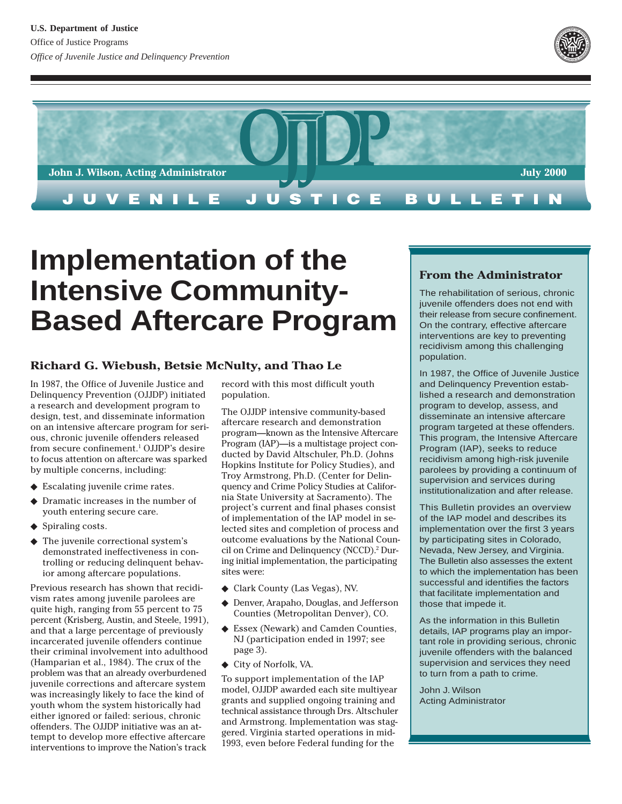



# **Implementation of the Intensive Community-Based Aftercare Program**

## **Richard G. Wiebush, Betsie McNulty, and Thao Le**

In 1987, the Office of Juvenile Justice and Delinquency Prevention (OJJDP) initiated a research and development program to design, test, and disseminate information on an intensive aftercare program for serious, chronic juvenile offenders released from secure confinement.1 OJJDP's desire to focus attention on aftercare was sparked by multiple concerns, including:

- ◆ Escalating juvenile crime rates.
- ◆ Dramatic increases in the number of youth entering secure care.
- ◆ Spiraling costs.
- The juvenile correctional system's demonstrated ineffectiveness in controlling or reducing delinquent behavior among aftercare populations.

Previous research has shown that recidivism rates among juvenile parolees are quite high, ranging from 55 percent to 75 percent (Krisberg, Austin, and Steele, 1991), and that a large percentage of previously incarcerated juvenile offenders continue their criminal involvement into adulthood (Hamparian et al., 1984). The crux of the problem was that an already overburdened juvenile corrections and aftercare system was increasingly likely to face the kind of youth whom the system historically had either ignored or failed: serious, chronic offenders. The OJJDP initiative was an attempt to develop more effective aftercare interventions to improve the Nation's track

record with this most difficult youth population.

The OJJDP intensive community-based aftercare research and demonstration program—known as the Intensive Aftercare Program (IAP)—is a multistage project conducted by David Altschuler, Ph.D. (Johns Hopkins Institute for Policy Studies), and Troy Armstrong, Ph.D. (Center for Delinquency and Crime Policy Studies at California State University at Sacramento). The project's current and final phases consist of implementation of the IAP model in selected sites and completion of process and outcome evaluations by the National Council on Crime and Delinquency (NCCD).2 During initial implementation, the participating sites were:

- ◆ Clark County (Las Vegas), NV.
- ◆ Denver, Arapaho, Douglas, and Jefferson Counties (Metropolitan Denver), CO.
- ◆ Essex (Newark) and Camden Counties, NJ (participation ended in 1997; see page 3).
- ◆ City of Norfolk, VA.

To support implementation of the IAP model, OJJDP awarded each site multiyear grants and supplied ongoing training and technical assistance through Drs. Altschuler and Armstrong. Implementation was staggered. Virginia started operations in mid-1993, even before Federal funding for the

#### **From the Administrator**

The rehabilitation of serious, chronic juvenile offenders does not end with their release from secure confinement. On the contrary, effective aftercare interventions are key to preventing recidivism among this challenging population.

In 1987, the Office of Juvenile Justice and Delinquency Prevention established a research and demonstration program to develop, assess, and disseminate an intensive aftercare program targeted at these offenders. This program, the Intensive Aftercare Program (IAP), seeks to reduce recidivism among high-risk juvenile parolees by providing a continuum of supervision and services during institutionalization and after release.

This Bulletin provides an overview of the IAP model and describes its implementation over the first 3 years by participating sites in Colorado, Nevada, New Jersey, and Virginia. The Bulletin also assesses the extent to which the implementation has been successful and identifies the factors that facilitate implementation and those that impede it.

As the information in this Bulletin details, IAP programs play an important role in providing serious, chronic juvenile offenders with the balanced supervision and services they need to turn from a path to crime.

John J. Wilson Acting Administrator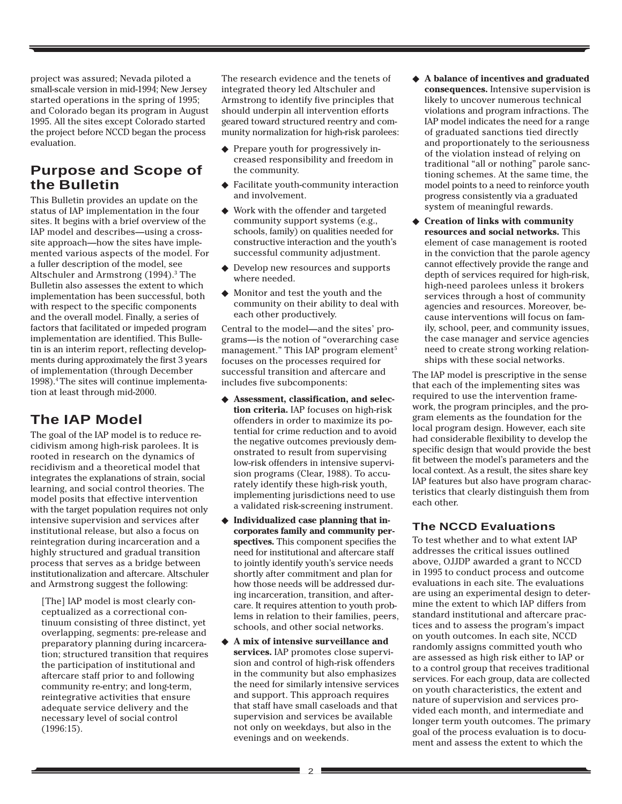project was assured; Nevada piloted a small-scale version in mid-1994; New Jersey started operations in the spring of 1995; and Colorado began its program in August 1995. All the sites except Colorado started the project before NCCD began the process evaluation.

# **Purpose and Scope of the Bulletin**

This Bulletin provides an update on the status of IAP implementation in the four sites. It begins with a brief overview of the IAP model and describes—using a crosssite approach—how the sites have implemented various aspects of the model. For a fuller description of the model, see Altschuler and Armstrong (1994).<sup>3</sup> The Bulletin also assesses the extent to which implementation has been successful, both with respect to the specific components and the overall model. Finally, a series of factors that facilitated or impeded program implementation are identified. This Bulletin is an interim report, reflecting developments during approximately the first 3 years of implementation (through December 1998).4 The sites will continue implementation at least through mid-2000.

# **The IAP Model**

The goal of the IAP model is to reduce recidivism among high-risk parolees. It is rooted in research on the dynamics of recidivism and a theoretical model that integrates the explanations of strain, social learning, and social control theories. The model posits that effective intervention with the target population requires not only intensive supervision and services after institutional release, but also a focus on reintegration during incarceration and a highly structured and gradual transition process that serves as a bridge between institutionalization and aftercare. Altschuler and Armstrong suggest the following:

[The] IAP model is most clearly conceptualized as a correctional continuum consisting of three distinct, yet overlapping, segments: pre-release and preparatory planning during incarceration; structured transition that requires the participation of institutional and aftercare staff prior to and following community re-entry; and long-term, reintegrative activities that ensure adequate service delivery and the necessary level of social control (1996:15).

The research evidence and the tenets of integrated theory led Altschuler and Armstrong to identify five principles that should underpin all intervention efforts geared toward structured reentry and community normalization for high-risk parolees:

- ◆ Prepare youth for progressively increased responsibility and freedom in the community.
- ◆ Facilitate youth-community interaction and involvement.
- ◆ Work with the offender and targeted community support systems (e.g., schools, family) on qualities needed for constructive interaction and the youth's successful community adjustment.
- Develop new resources and supports where needed.
- ◆ Monitor and test the youth and the community on their ability to deal with each other productively.

Central to the model—and the sites' programs—is the notion of "overarching case management." This IAP program element<sup>5</sup> focuses on the processes required for successful transition and aftercare and includes five subcomponents:

- ◆ **Assessment, classification, and selection criteria.** IAP focuses on high-risk offenders in order to maximize its potential for crime reduction and to avoid the negative outcomes previously demonstrated to result from supervising low-risk offenders in intensive supervision programs (Clear, 1988). To accurately identify these high-risk youth, implementing jurisdictions need to use a validated risk-screening instrument.
- ◆ **Individualized case planning that incorporates family and community perspectives.** This component specifies the need for institutional and aftercare staff to jointly identify youth's service needs shortly after commitment and plan for how those needs will be addressed during incarceration, transition, and aftercare. It requires attention to youth problems in relation to their families, peers, schools, and other social networks.
- ◆ **A mix of intensive surveillance and services.** IAP promotes close supervision and control of high-risk offenders in the community but also emphasizes the need for similarly intensive services and support. This approach requires that staff have small caseloads and that supervision and services be available not only on weekdays, but also in the evenings and on weekends.
- ◆ **A balance of incentives and graduated consequences.** Intensive supervision is likely to uncover numerous technical violations and program infractions. The IAP model indicates the need for a range of graduated sanctions tied directly and proportionately to the seriousness of the violation instead of relying on traditional "all or nothing" parole sanctioning schemes. At the same time, the model points to a need to reinforce youth progress consistently via a graduated system of meaningful rewards.
- ◆ **Creation of links with community resources and social networks.** This element of case management is rooted in the conviction that the parole agency cannot effectively provide the range and depth of services required for high-risk, high-need parolees unless it brokers services through a host of community agencies and resources. Moreover, because interventions will focus on family, school, peer, and community issues, the case manager and service agencies need to create strong working relationships with these social networks.

The IAP model is prescriptive in the sense that each of the implementing sites was required to use the intervention framework, the program principles, and the program elements as the foundation for the local program design. However, each site had considerable flexibility to develop the specific design that would provide the best fit between the model's parameters and the local context. As a result, the sites share key IAP features but also have program characteristics that clearly distinguish them from each other.

#### **The NCCD Evaluations**

To test whether and to what extent IAP addresses the critical issues outlined above, OJJDP awarded a grant to NCCD in 1995 to conduct process and outcome evaluations in each site. The evaluations are using an experimental design to determine the extent to which IAP differs from standard institutional and aftercare practices and to assess the program's impact on youth outcomes. In each site, NCCD randomly assigns committed youth who are assessed as high risk either to IAP or to a control group that receives traditional services. For each group, data are collected on youth characteristics, the extent and nature of supervision and services provided each month, and intermediate and longer term youth outcomes. The primary goal of the process evaluation is to document and assess the extent to which the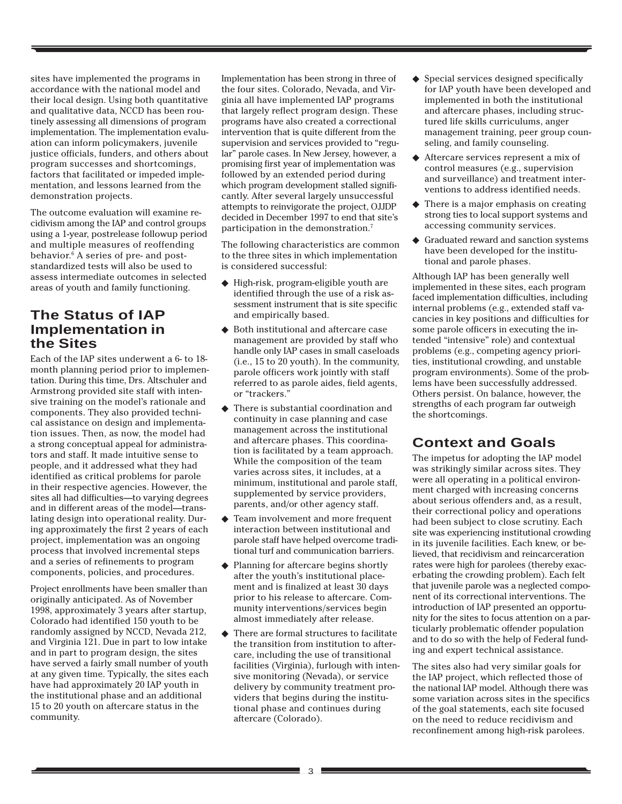sites have implemented the programs in accordance with the national model and their local design. Using both quantitative and qualitative data, NCCD has been routinely assessing all dimensions of program implementation. The implementation evaluation can inform policymakers, juvenile justice officials, funders, and others about program successes and shortcomings, factors that facilitated or impeded implementation, and lessons learned from the demonstration projects.

The outcome evaluation will examine recidivism among the IAP and control groups using a 1-year, postrelease followup period and multiple measures of reoffending behavior.6 A series of pre- and poststandardized tests will also be used to assess intermediate outcomes in selected areas of youth and family functioning.

# **The Status of IAP Implementation in the Sites**

Each of the IAP sites underwent a 6- to 18 month planning period prior to implementation. During this time, Drs. Altschuler and Armstrong provided site staff with intensive training on the model's rationale and components. They also provided technical assistance on design and implementation issues. Then, as now, the model had a strong conceptual appeal for administrators and staff. It made intuitive sense to people, and it addressed what they had identified as critical problems for parole in their respective agencies. However, the sites all had difficulties—to varying degrees and in different areas of the model—translating design into operational reality. During approximately the first 2 years of each project, implementation was an ongoing process that involved incremental steps and a series of refinements to program components, policies, and procedures.

Project enrollments have been smaller than originally anticipated. As of November 1998, approximately 3 years after startup, Colorado had identified 150 youth to be randomly assigned by NCCD, Nevada 212, and Virginia 121. Due in part to low intake and in part to program design, the sites have served a fairly small number of youth at any given time. Typically, the sites each have had approximately 20 IAP youth in the institutional phase and an additional 15 to 20 youth on aftercare status in the community.

Implementation has been strong in three of the four sites. Colorado, Nevada, and Virginia all have implemented IAP programs that largely reflect program design. These programs have also created a correctional intervention that is quite different from the supervision and services provided to "regular" parole cases. In New Jersey, however, a promising first year of implementation was followed by an extended period during which program development stalled significantly. After several largely unsuccessful attempts to reinvigorate the project, OJJDP decided in December 1997 to end that site's participation in the demonstration.<sup>7</sup>

The following characteristics are common to the three sites in which implementation is considered successful:

- ◆ High-risk, program-eligible youth are identified through the use of a risk assessment instrument that is site specific and empirically based.
- Both institutional and aftercare case management are provided by staff who handle only IAP cases in small caseloads (i.e., 15 to 20 youth). In the community, parole officers work jointly with staff referred to as parole aides, field agents, or "trackers."
- ◆ There is substantial coordination and continuity in case planning and case management across the institutional and aftercare phases. This coordination is facilitated by a team approach. While the composition of the team varies across sites, it includes, at a minimum, institutional and parole staff, supplemented by service providers, parents, and/or other agency staff.
- ◆ Team involvement and more frequent interaction between institutional and parole staff have helped overcome traditional turf and communication barriers.
- ◆ Planning for aftercare begins shortly after the youth's institutional placement and is finalized at least 30 days prior to his release to aftercare. Community interventions/services begin almost immediately after release.
- ◆ There are formal structures to facilitate the transition from institution to aftercare, including the use of transitional facilities (Virginia), furlough with intensive monitoring (Nevada), or service delivery by community treatment providers that begins during the institutional phase and continues during aftercare (Colorado).
- ◆ Special services designed specifically for IAP youth have been developed and implemented in both the institutional and aftercare phases, including structured life skills curriculums, anger management training, peer group counseling, and family counseling.
- ◆ Aftercare services represent a mix of control measures (e.g., supervision and surveillance) and treatment interventions to address identified needs.
- $\triangle$  There is a major emphasis on creating strong ties to local support systems and accessing community services.
- ◆ Graduated reward and sanction systems have been developed for the institutional and parole phases.

Although IAP has been generally well implemented in these sites, each program faced implementation difficulties, including internal problems (e.g., extended staff vacancies in key positions and difficulties for some parole officers in executing the intended "intensive" role) and contextual problems (e.g., competing agency priorities, institutional crowding, and unstable program environments). Some of the problems have been successfully addressed. Others persist. On balance, however, the strengths of each program far outweigh the shortcomings.

# **Context and Goals**

The impetus for adopting the IAP model was strikingly similar across sites. They were all operating in a political environment charged with increasing concerns about serious offenders and, as a result, their correctional policy and operations had been subject to close scrutiny. Each site was experiencing institutional crowding in its juvenile facilities. Each knew, or believed, that recidivism and reincarceration rates were high for parolees (thereby exacerbating the crowding problem). Each felt that juvenile parole was a neglected component of its correctional interventions. The introduction of IAP presented an opportunity for the sites to focus attention on a particularly problematic offender population and to do so with the help of Federal funding and expert technical assistance.

The sites also had very similar goals for the IAP project, which reflected those of the national IAP model. Although there was some variation across sites in the specifics of the goal statements, each site focused on the need to reduce recidivism and reconfinement among high-risk parolees.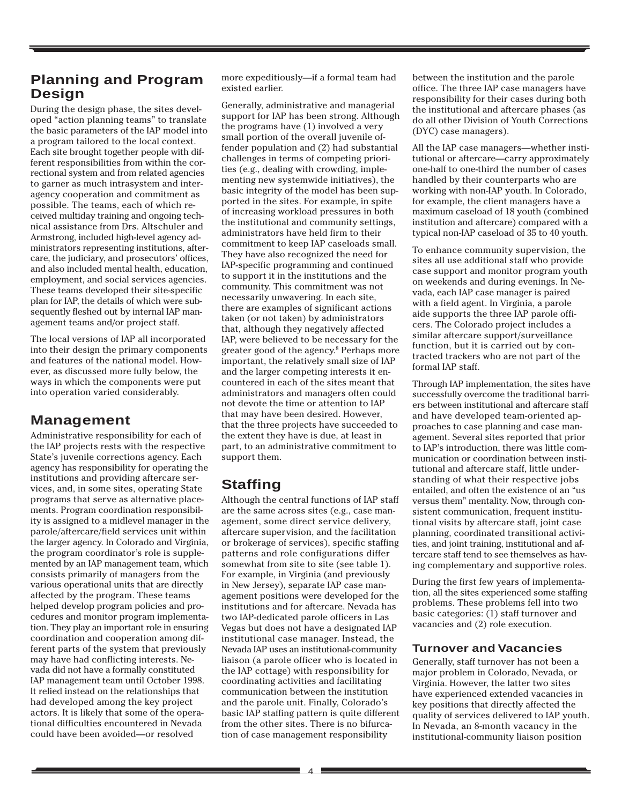# **Planning and Program Design**

During the design phase, the sites developed "action planning teams" to translate the basic parameters of the IAP model into a program tailored to the local context. Each site brought together people with different responsibilities from within the correctional system and from related agencies to garner as much intrasystem and interagency cooperation and commitment as possible. The teams, each of which received multiday training and ongoing technical assistance from Drs. Altschuler and Armstrong, included high-level agency administrators representing institutions, aftercare, the judiciary, and prosecutors' offices, and also included mental health, education, employment, and social services agencies. These teams developed their site-specific plan for IAP, the details of which were subsequently fleshed out by internal IAP management teams and/or project staff.

The local versions of IAP all incorporated into their design the primary components and features of the national model. However, as discussed more fully below, the ways in which the components were put into operation varied considerably.

# **Management**

Administrative responsibility for each of the IAP projects rests with the respective State's juvenile corrections agency. Each agency has responsibility for operating the institutions and providing aftercare services, and, in some sites, operating State programs that serve as alternative placements. Program coordination responsibility is assigned to a midlevel manager in the parole/aftercare/field services unit within the larger agency. In Colorado and Virginia, the program coordinator's role is supplemented by an IAP management team, which consists primarily of managers from the various operational units that are directly affected by the program. These teams helped develop program policies and procedures and monitor program implementation. They play an important role in ensuring coordination and cooperation among different parts of the system that previously may have had conflicting interests. Nevada did not have a formally constituted IAP management team until October 1998. It relied instead on the relationships that had developed among the key project actors. It is likely that some of the operational difficulties encountered in Nevada could have been avoided—or resolved

more expeditiously—if a formal team had existed earlier.

Generally, administrative and managerial support for IAP has been strong. Although the programs have (1) involved a very small portion of the overall juvenile offender population and (2) had substantial challenges in terms of competing priorities (e.g., dealing with crowding, implementing new systemwide initiatives), the basic integrity of the model has been supported in the sites. For example, in spite of increasing workload pressures in both the institutional and community settings, administrators have held firm to their commitment to keep IAP caseloads small. They have also recognized the need for IAP-specific programming and continued to support it in the institutions and the community. This commitment was not necessarily unwavering. In each site, there are examples of significant actions taken (or not taken) by administrators that, although they negatively affected IAP, were believed to be necessary for the greater good of the agency.8 Perhaps more important, the relatively small size of IAP and the larger competing interests it encountered in each of the sites meant that administrators and managers often could not devote the time or attention to IAP that may have been desired. However, that the three projects have succeeded to the extent they have is due, at least in part, to an administrative commitment to support them.

# **Staffing**

Although the central functions of IAP staff are the same across sites (e.g., case management, some direct service delivery, aftercare supervision, and the facilitation or brokerage of services), specific staffing patterns and role configurations differ somewhat from site to site (see table 1). For example, in Virginia (and previously in New Jersey), separate IAP case management positions were developed for the institutions and for aftercare. Nevada has two IAP-dedicated parole officers in Las Vegas but does not have a designated IAP institutional case manager. Instead, the Nevada IAP uses an institutional-community liaison (a parole officer who is located in the IAP cottage) with responsibility for coordinating activities and facilitating communication between the institution and the parole unit. Finally, Colorado's basic IAP staffing pattern is quite different from the other sites. There is no bifurcation of case management responsibility

between the institution and the parole office. The three IAP case managers have responsibility for their cases during both the institutional and aftercare phases (as do all other Division of Youth Corrections (DYC) case managers).

All the IAP case managers—whether institutional or aftercare—carry approximately one-half to one-third the number of cases handled by their counterparts who are working with non-IAP youth. In Colorado, for example, the client managers have a maximum caseload of 18 youth (combined institution and aftercare) compared with a typical non-IAP caseload of 35 to 40 youth.

To enhance community supervision, the sites all use additional staff who provide case support and monitor program youth on weekends and during evenings. In Nevada, each IAP case manager is paired with a field agent. In Virginia, a parole aide supports the three IAP parole officers. The Colorado project includes a similar aftercare support/surveillance function, but it is carried out by contracted trackers who are not part of the formal IAP staff.

Through IAP implementation, the sites have successfully overcome the traditional barriers between institutional and aftercare staff and have developed team-oriented approaches to case planning and case management. Several sites reported that prior to IAP's introduction, there was little communication or coordination between institutional and aftercare staff, little understanding of what their respective jobs entailed, and often the existence of an "us versus them" mentality. Now, through consistent communication, frequent institutional visits by aftercare staff, joint case planning, coordinated transitional activities, and joint training, institutional and aftercare staff tend to see themselves as having complementary and supportive roles.

During the first few years of implementation, all the sites experienced some staffing problems. These problems fell into two basic categories: (1) staff turnover and vacancies and (2) role execution.

#### **Turnover and Vacancies**

Generally, staff turnover has not been a major problem in Colorado, Nevada, or Virginia. However, the latter two sites have experienced extended vacancies in key positions that directly affected the quality of services delivered to IAP youth. In Nevada, an 8-month vacancy in the institutional-community liaison position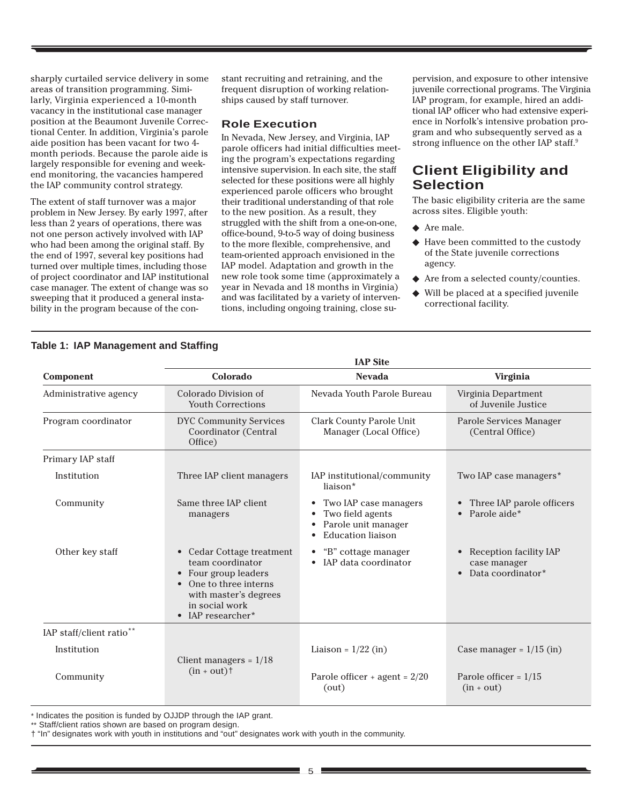sharply curtailed service delivery in some areas of transition programming. Similarly, Virginia experienced a 10-month vacancy in the institutional case manager position at the Beaumont Juvenile Correctional Center. In addition, Virginia's parole aide position has been vacant for two 4 month periods. Because the parole aide is largely responsible for evening and weekend monitoring, the vacancies hampered the IAP community control strategy.

The extent of staff turnover was a major problem in New Jersey. By early 1997, after less than 2 years of operations, there was not one person actively involved with IAP who had been among the original staff. By the end of 1997, several key positions had turned over multiple times, including those of project coordinator and IAP institutional case manager. The extent of change was so sweeping that it produced a general instability in the program because of the constant recruiting and retraining, and the frequent disruption of working relationships caused by staff turnover.

#### **Role Execution**

In Nevada, New Jersey, and Virginia, IAP parole officers had initial difficulties meeting the program's expectations regarding intensive supervision. In each site, the staff selected for these positions were all highly experienced parole officers who brought their traditional understanding of that role to the new position. As a result, they struggled with the shift from a one-on-one, office-bound, 9-to-5 way of doing business to the more flexible, comprehensive, and team-oriented approach envisioned in the IAP model. Adaptation and growth in the new role took some time (approximately a year in Nevada and 18 months in Virginia) and was facilitated by a variety of interventions, including ongoing training, close supervision, and exposure to other intensive juvenile correctional programs. The Virginia IAP program, for example, hired an additional IAP officer who had extensive experience in Norfolk's intensive probation program and who subsequently served as a strong influence on the other IAP staff.<sup>9</sup>

# **Client Eligibility and Selection**

The basic eligibility criteria are the same across sites. Eligible youth:

- ◆ Are male.
- ◆ Have been committed to the custody of the State juvenile corrections agency.
- Are from a selected county/counties.
- ◆ Will be placed at a specified juvenile correctional facility.

|                          | <b>IAP Site</b>                                                                                                                                                          |                                                                                                                |                                                                                       |  |  |  |
|--------------------------|--------------------------------------------------------------------------------------------------------------------------------------------------------------------------|----------------------------------------------------------------------------------------------------------------|---------------------------------------------------------------------------------------|--|--|--|
| Component                | Colorado                                                                                                                                                                 | <b>Nevada</b>                                                                                                  | Virginia                                                                              |  |  |  |
| Administrative agency    | Colorado Division of<br><b>Youth Corrections</b>                                                                                                                         | Nevada Youth Parole Bureau                                                                                     | Virginia Department<br>of Juvenile Justice                                            |  |  |  |
| Program coordinator      | <b>DYC Community Services</b><br>Coordinator (Central<br>Office)                                                                                                         | Clark County Parole Unit<br>Manager (Local Office)                                                             | Parole Services Manager<br>(Central Office)                                           |  |  |  |
| Primary IAP staff        |                                                                                                                                                                          |                                                                                                                |                                                                                       |  |  |  |
| Institution              | Three IAP client managers                                                                                                                                                | IAP institutional/community<br>liaison*                                                                        | Two IAP case managers*                                                                |  |  |  |
| Community                | Same three IAP client<br>managers                                                                                                                                        | Two IAP case managers<br>$\bullet$<br>Two field agents<br>Parole unit manager<br><b>Education</b> liaison<br>٠ | Three IAP parole officers<br>$\bullet$<br>Parole aide*<br>$\bullet$                   |  |  |  |
| Other key staff          | • Cedar Cottage treatment<br>team coordinator<br>Four group leaders<br>$\bullet$<br>One to three interns<br>with master's degrees<br>in social work<br>• IAP researcher* | • "B" cottage manager<br>• IAP data coordinator                                                                | Reception facility IAP<br>$\bullet$<br>case manager<br>Data coordinator*<br>$\bullet$ |  |  |  |
| IAP staff/client ratio** |                                                                                                                                                                          |                                                                                                                |                                                                                       |  |  |  |
| Institution              | Client managers = $1/18$                                                                                                                                                 | Liaison = $1/22$ (in)                                                                                          | Case manager = $1/15$ (in)                                                            |  |  |  |
| Community                | $(in + out)$ †                                                                                                                                                           | Parole officer + agent = $2/20$<br>(out)                                                                       | Parole officer = $1/15$<br>$(in + out)$                                               |  |  |  |

**Table 1: IAP Management and Staffing**

\* Indicates the position is funded by OJJDP through the IAP grant.

\*\* Staff/client ratios shown are based on program design.

† "In" designates work with youth in institutions and "out" designates work with youth in the community.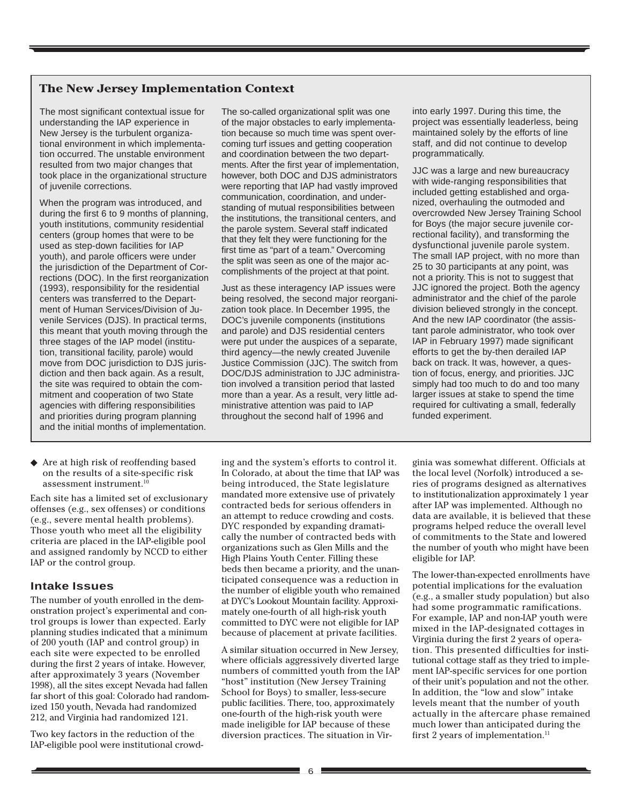#### **The New Jersey Implementation Context**

The most significant contextual issue for understanding the IAP experience in New Jersey is the turbulent organizational environment in which implementation occurred. The unstable environment resulted from two major changes that took place in the organizational structure of juvenile corrections.

When the program was introduced, and during the first 6 to 9 months of planning, youth institutions, community residential centers (group homes that were to be used as step-down facilities for IAP youth), and parole officers were under the jurisdiction of the Department of Corrections (DOC). In the first reorganization (1993), responsibility for the residential centers was transferred to the Department of Human Services/Division of Juvenile Services (DJS). In practical terms, this meant that youth moving through the three stages of the IAP model (institution, transitional facility, parole) would move from DOC jurisdiction to DJS jurisdiction and then back again. As a result, the site was required to obtain the commitment and cooperation of two State agencies with differing responsibilities and priorities during program planning and the initial months of implementation.

◆ Are at high risk of reoffending based on the results of a site-specific risk assessment instrument.10

Each site has a limited set of exclusionary offenses (e.g., sex offenses) or conditions (e.g., severe mental health problems). Those youth who meet all the eligibility criteria are placed in the IAP-eligible pool and assigned randomly by NCCD to either IAP or the control group.

#### **Intake Issues**

The number of youth enrolled in the demonstration project's experimental and control groups is lower than expected. Early planning studies indicated that a minimum of 200 youth (IAP and control group) in each site were expected to be enrolled during the first 2 years of intake. However, after approximately 3 years (November 1998), all the sites except Nevada had fallen far short of this goal: Colorado had randomized 150 youth, Nevada had randomized 212, and Virginia had randomized 121.

Two key factors in the reduction of the IAP-eligible pool were institutional crowd-

The so-called organizational split was one of the major obstacles to early implementation because so much time was spent overcoming turf issues and getting cooperation and coordination between the two departments. After the first year of implementation, however, both DOC and DJS administrators were reporting that IAP had vastly improved communication, coordination, and understanding of mutual responsibilities between the institutions, the transitional centers, and the parole system. Several staff indicated that they felt they were functioning for the first time as "part of a team." Overcoming the split was seen as one of the major accomplishments of the project at that point.

Just as these interagency IAP issues were being resolved, the second major reorganization took place. In December 1995, the DOC's juvenile components (institutions and parole) and DJS residential centers were put under the auspices of a separate, third agency—the newly created Juvenile Justice Commission (JJC). The switch from DOC/DJS administration to JJC administration involved a transition period that lasted more than a year. As a result, very little administrative attention was paid to IAP throughout the second half of 1996 and

ing and the system's efforts to control it. In Colorado, at about the time that IAP was being introduced, the State legislature mandated more extensive use of privately contracted beds for serious offenders in an attempt to reduce crowding and costs. DYC responded by expanding dramatically the number of contracted beds with organizations such as Glen Mills and the High Plains Youth Center. Filling these beds then became a priority, and the unanticipated consequence was a reduction in the number of eligible youth who remained at DYC's Lookout Mountain facility. Approximately one-fourth of all high-risk youth committed to DYC were not eligible for IAP because of placement at private facilities.

A similar situation occurred in New Jersey, where officials aggressively diverted large numbers of committed youth from the IAP "host" institution (New Jersey Training School for Boys) to smaller, less-secure public facilities. There, too, approximately one-fourth of the high-risk youth were made ineligible for IAP because of these diversion practices. The situation in Virinto early 1997. During this time, the project was essentially leaderless, being maintained solely by the efforts of line staff, and did not continue to develop programmatically.

JJC was a large and new bureaucracy with wide-ranging responsibilities that included getting established and organized, overhauling the outmoded and overcrowded New Jersey Training School for Boys (the major secure juvenile correctional facility), and transforming the dysfunctional juvenile parole system. The small IAP project, with no more than 25 to 30 participants at any point, was not a priority. This is not to suggest that JJC ignored the project. Both the agency administrator and the chief of the parole division believed strongly in the concept. And the new IAP coordinator (the assistant parole administrator, who took over IAP in February 1997) made significant efforts to get the by-then derailed IAP back on track. It was, however, a question of focus, energy, and priorities. JJC simply had too much to do and too many larger issues at stake to spend the time required for cultivating a small, federally funded experiment.

ginia was somewhat different. Officials at the local level (Norfolk) introduced a series of programs designed as alternatives to institutionalization approximately 1 year after IAP was implemented. Although no data are available, it is believed that these programs helped reduce the overall level of commitments to the State and lowered the number of youth who might have been eligible for IAP.

The lower-than-expected enrollments have potential implications for the evaluation (e.g., a smaller study population) but also had some programmatic ramifications. For example, IAP and non-IAP youth were mixed in the IAP-designated cottages in Virginia during the first 2 years of operation. This presented difficulties for institutional cottage staff as they tried to implement IAP-specific services for one portion of their unit's population and not the other. In addition, the "low and slow" intake levels meant that the number of youth actually in the aftercare phase remained much lower than anticipated during the first 2 years of implementation.<sup>11</sup>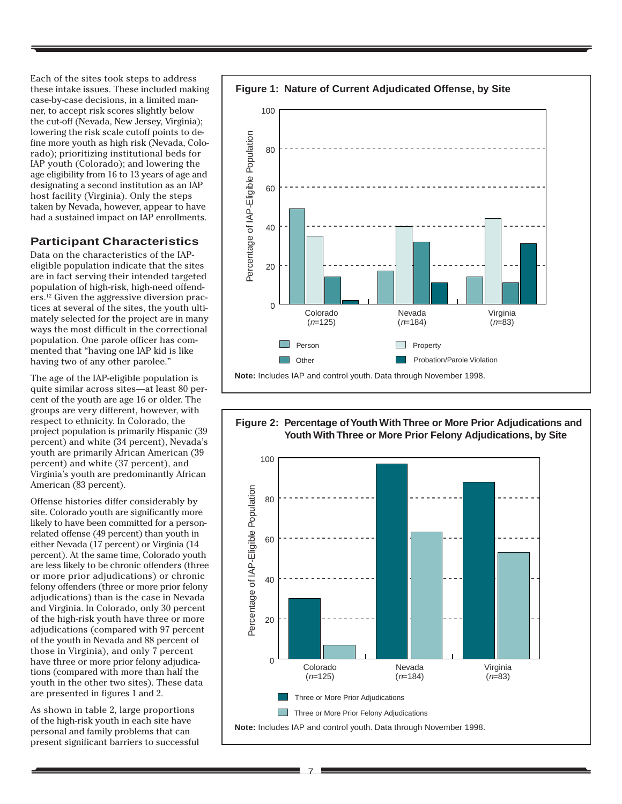Each of the sites took steps to address these intake issues. These included making case-by-case decisions, in a limited manner, to accept risk scores slightly below the cut-off (Nevada, New Jersey, Virginia); lowering the risk scale cutoff points to define more youth as high risk (Nevada, Colorado); prioritizing institutional beds for IAP youth (Colorado); and lowering the age eligibility from 16 to 13 years of age and designating a second institution as an IAP host facility (Virginia). Only the steps taken by Nevada, however, appear to have had a sustained impact on IAP enrollments.

#### **Participant Characteristics**

Data on the characteristics of the IAPeligible population indicate that the sites are in fact serving their intended targeted population of high-risk, high-need offenders.12 Given the aggressive diversion practices at several of the sites, the youth ultimately selected for the project are in many ways the most difficult in the correctional population. One parole officer has commented that "having one IAP kid is like having two of any other parolee."

The age of the IAP-eligible population is quite similar across sites—at least 80 percent of the youth are age 16 or older. The groups are very different, however, with respect to ethnicity. In Colorado, the project population is primarily Hispanic (39 percent) and white (34 percent), Nevada's youth are primarily African American (39 percent) and white (37 percent), and Virginia's youth are predominantly African American (83 percent).

Offense histories differ considerably by site. Colorado youth are significantly more likely to have been committed for a personrelated offense (49 percent) than youth in either Nevada (17 percent) or Virginia (14 percent). At the same time, Colorado youth are less likely to be chronic offenders (three or more prior adjudications) or chronic felony offenders (three or more prior felony adjudications) than is the case in Nevada and Virginia. In Colorado, only 30 percent of the high-risk youth have three or more adjudications (compared with 97 percent of the youth in Nevada and 88 percent of those in Virginia), and only 7 percent have three or more prior felony adjudications (compared with more than half the youth in the other two sites). These data are presented in figures 1 and 2.

As shown in table 2, large proportions of the high-risk youth in each site have personal and family problems that can present significant barriers to successful



**Figure 2: Percentage of Youth With Three or More Prior Adjudications and Youth With Three or More Prior Felony Adjudications, by Site**

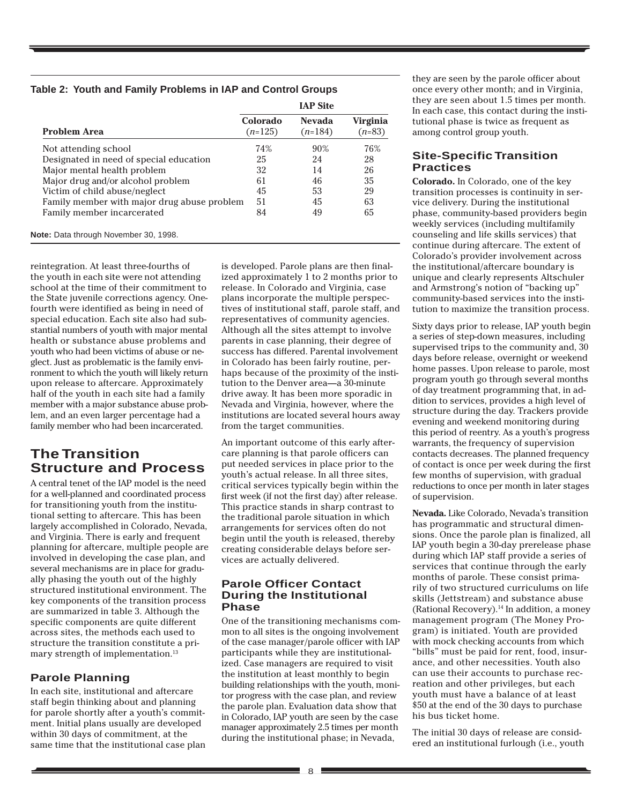#### **Table 2: Youth and Family Problems in IAP and Control Groups**

|                                             |                       | <b>IAP Site</b>            |                      |
|---------------------------------------------|-----------------------|----------------------------|----------------------|
| <b>Problem Area</b>                         | Colorado<br>$(n=125)$ | <b>Nevada</b><br>$(n=184)$ | Virginia<br>$(n=83)$ |
| Not attending school                        | 74%                   | 90%                        | 76%                  |
| Designated in need of special education     | 25                    | 24                         | 28                   |
| Major mental health problem                 | 32                    | 14                         | 26                   |
| Major drug and/or alcohol problem           | 61                    | 46                         | 35                   |
| Victim of child abuse/neglect               | 45                    | 53                         | 29                   |
| Family member with major drug abuse problem | 51                    | 45                         | 63                   |
| Family member incarcerated                  | 84                    | 49                         | 65                   |

reintegration. At least three-fourths of the youth in each site were not attending school at the time of their commitment to the State juvenile corrections agency. Onefourth were identified as being in need of special education. Each site also had substantial numbers of youth with major mental health or substance abuse problems and youth who had been victims of abuse or neglect. Just as problematic is the family environment to which the youth will likely return upon release to aftercare. Approximately half of the youth in each site had a family member with a major substance abuse problem, and an even larger percentage had a family member who had been incarcerated.

# **The Transition Structure and Process**

A central tenet of the IAP model is the need for a well-planned and coordinated process for transitioning youth from the institutional setting to aftercare. This has been largely accomplished in Colorado, Nevada, and Virginia. There is early and frequent planning for aftercare, multiple people are involved in developing the case plan, and several mechanisms are in place for gradually phasing the youth out of the highly structured institutional environment. The key components of the transition process are summarized in table 3. Although the specific components are quite different across sites, the methods each used to structure the transition constitute a primary strength of implementation.<sup>13</sup>

## **Parole Planning**

In each site, institutional and aftercare staff begin thinking about and planning for parole shortly after a youth's commitment. Initial plans usually are developed within 30 days of commitment, at the same time that the institutional case plan

is developed. Parole plans are then finalized approximately 1 to 2 months prior to release. In Colorado and Virginia, case plans incorporate the multiple perspectives of institutional staff, parole staff, and representatives of community agencies. Although all the sites attempt to involve parents in case planning, their degree of success has differed. Parental involvement in Colorado has been fairly routine, perhaps because of the proximity of the institution to the Denver area—a 30-minute drive away. It has been more sporadic in Nevada and Virginia, however, where the institutions are located several hours away from the target communities.

An important outcome of this early aftercare planning is that parole officers can put needed services in place prior to the youth's actual release. In all three sites, critical services typically begin within the first week (if not the first day) after release. This practice stands in sharp contrast to the traditional parole situation in which arrangements for services often do not begin until the youth is released, thereby creating considerable delays before services are actually delivered.

#### **Parole Officer Contact During the Institutional Phase**

One of the transitioning mechanisms common to all sites is the ongoing involvement of the case manager/parole officer with IAP participants while they are institutionalized. Case managers are required to visit the institution at least monthly to begin building relationships with the youth, monitor progress with the case plan, and review the parole plan. Evaluation data show that in Colorado, IAP youth are seen by the case manager approximately 2.5 times per month during the institutional phase; in Nevada,

they are seen by the parole officer about once every other month; and in Virginia, they are seen about 1.5 times per month. In each case, this contact during the institutional phase is twice as frequent as among control group youth.

#### **Site-Specific Transition Practices**

**Colorado.** In Colorado, one of the key transition processes is continuity in service delivery. During the institutional phase, community-based providers begin weekly services (including multifamily counseling and life skills services) that continue during aftercare. The extent of Colorado's provider involvement across the institutional/aftercare boundary is unique and clearly represents Altschuler and Armstrong's notion of "backing up" community-based services into the institution to maximize the transition process.

Sixty days prior to release, IAP youth begin a series of step-down measures, including supervised trips to the community and, 30 days before release, overnight or weekend home passes. Upon release to parole, most program youth go through several months of day treatment programming that, in addition to services, provides a high level of structure during the day. Trackers provide evening and weekend monitoring during this period of reentry. As a youth's progress warrants, the frequency of supervision contacts decreases. The planned frequency of contact is once per week during the first few months of supervision, with gradual reductions to once per month in later stages of supervision.

**Nevada.** Like Colorado, Nevada's transition has programmatic and structural dimensions. Once the parole plan is finalized, all IAP youth begin a 30-day prerelease phase during which IAP staff provide a series of services that continue through the early months of parole. These consist primarily of two structured curriculums on life skills (Jettstream) and substance abuse (Rational Recovery).<sup>14</sup> In addition, a money management program (The Money Program) is initiated. Youth are provided with mock checking accounts from which "bills" must be paid for rent, food, insurance, and other necessities. Youth also can use their accounts to purchase recreation and other privileges, but each youth must have a balance of at least \$50 at the end of the 30 days to purchase his bus ticket home.

The initial 30 days of release are considered an institutional furlough (i.e., youth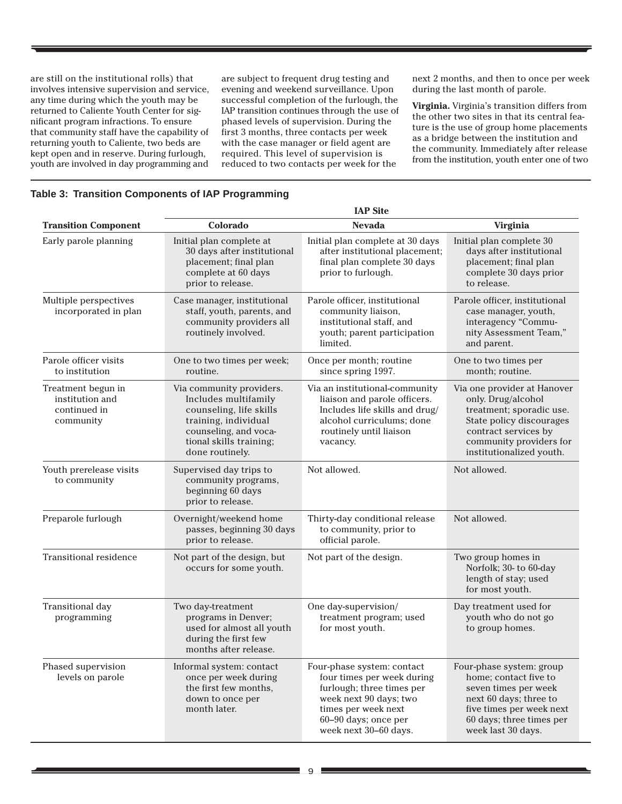are still on the institutional rolls) that involves intensive supervision and service, any time during which the youth may be returned to Caliente Youth Center for significant program infractions. To ensure that community staff have the capability of returning youth to Caliente, two beds are kept open and in reserve. During furlough, youth are involved in day programming and

are subject to frequent drug testing and evening and weekend surveillance. Upon successful completion of the furlough, the IAP transition continues through the use of phased levels of supervision. During the first 3 months, three contacts per week with the case manager or field agent are required. This level of supervision is reduced to two contacts per week for the

next 2 months, and then to once per week during the last month of parole.

**Virginia.** Virginia's transition differs from the other two sites in that its central feature is the use of group home placements as a bridge between the institution and the community. Immediately after release from the institution, youth enter one of two

#### **Table 3: Transition Components of IAP Programming**

|                                                                    |                                                                                                                                                                            | <b>IAP Site</b>                                                                                                                                                                         |                                                                                                                                                                                          |
|--------------------------------------------------------------------|----------------------------------------------------------------------------------------------------------------------------------------------------------------------------|-----------------------------------------------------------------------------------------------------------------------------------------------------------------------------------------|------------------------------------------------------------------------------------------------------------------------------------------------------------------------------------------|
| <b>Transition Component</b>                                        | Colorado                                                                                                                                                                   | <b>Nevada</b>                                                                                                                                                                           | Virginia                                                                                                                                                                                 |
| Early parole planning                                              | Initial plan complete at<br>30 days after institutional<br>placement; final plan<br>complete at 60 days<br>prior to release.                                               | Initial plan complete at 30 days<br>after institutional placement;<br>final plan complete 30 days<br>prior to furlough.                                                                 | Initial plan complete 30<br>days after institutional<br>placement; final plan<br>complete 30 days prior<br>to release.                                                                   |
| Multiple perspectives<br>incorporated in plan                      | Case manager, institutional<br>staff, youth, parents, and<br>community providers all<br>routinely involved.                                                                | Parole officer, institutional<br>community liaison,<br>institutional staff, and<br>youth; parent participation<br>limited.                                                              | Parole officer, institutional<br>case manager, youth,<br>interagency "Commu-<br>nity Assessment Team,"<br>and parent.                                                                    |
| Parole officer visits<br>to institution                            | One to two times per week;<br>routine.                                                                                                                                     | Once per month; routine<br>since spring 1997.                                                                                                                                           | One to two times per<br>month; routine.                                                                                                                                                  |
| Treatment begun in<br>institution and<br>continued in<br>community | Via community providers.<br>Includes multifamily<br>counseling, life skills<br>training, individual<br>counseling, and voca-<br>tional skills training;<br>done routinely. | Via an institutional-community<br>liaison and parole officers.<br>Includes life skills and drug/<br>alcohol curriculums; done<br>routinely until liaison<br>vacancy.                    | Via one provider at Hanover<br>only. Drug/alcohol<br>treatment; sporadic use.<br>State policy discourages<br>contract services by<br>community providers for<br>institutionalized youth. |
| Youth prerelease visits<br>to community                            | Supervised day trips to<br>community programs,<br>beginning 60 days<br>prior to release.                                                                                   | Not allowed.                                                                                                                                                                            | Not allowed.                                                                                                                                                                             |
| Preparole furlough                                                 | Overnight/weekend home<br>passes, beginning 30 days<br>prior to release.                                                                                                   | Thirty-day conditional release<br>to community, prior to<br>official parole.                                                                                                            | Not allowed.                                                                                                                                                                             |
| <b>Transitional residence</b>                                      | Not part of the design, but<br>occurs for some youth.                                                                                                                      | Not part of the design.                                                                                                                                                                 | Two group homes in<br>Norfolk; 30- to 60-day<br>length of stay; used<br>for most youth.                                                                                                  |
| Transitional day<br>programming                                    | Two day-treatment<br>programs in Denver;<br>used for almost all youth<br>during the first few<br>months after release.                                                     | One day-supervision/<br>treatment program; used<br>for most youth.                                                                                                                      | Day treatment used for<br>youth who do not go<br>to group homes.                                                                                                                         |
| Phased supervision<br>levels on parole                             | Informal system: contact<br>once per week during<br>the first few months,<br>down to once per<br>month later.                                                              | Four-phase system: contact<br>four times per week during<br>furlough; three times per<br>week next 90 days; two<br>times per week next<br>60-90 days; once per<br>week next 30-60 days. | Four-phase system: group<br>home; contact five to<br>seven times per week<br>next 60 days; three to<br>five times per week next<br>60 days; three times per<br>week last 30 days.        |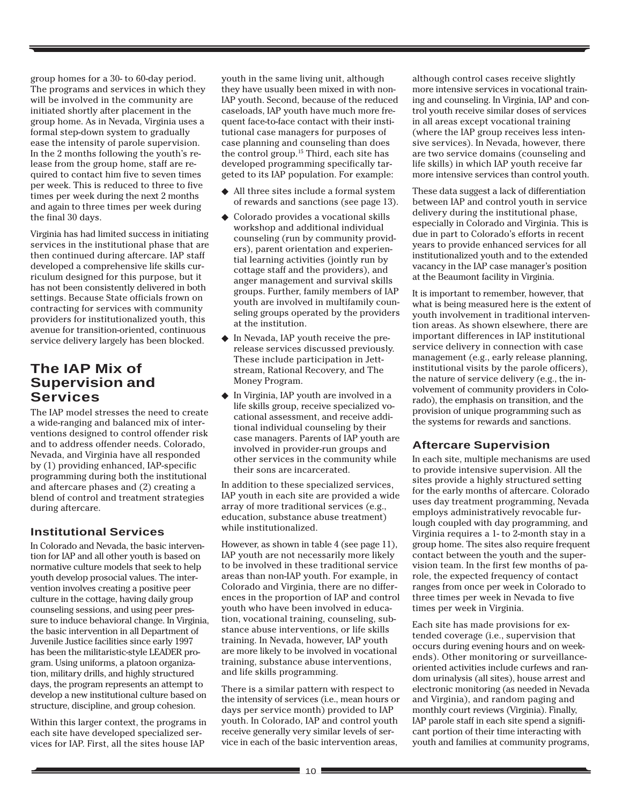group homes for a 30- to 60-day period. The programs and services in which they will be involved in the community are initiated shortly after placement in the group home. As in Nevada, Virginia uses a formal step-down system to gradually ease the intensity of parole supervision. In the 2 months following the youth's release from the group home, staff are required to contact him five to seven times per week. This is reduced to three to five times per week during the next 2 months and again to three times per week during the final 30 days.

Virginia has had limited success in initiating services in the institutional phase that are then continued during aftercare. IAP staff developed a comprehensive life skills curriculum designed for this purpose, but it has not been consistently delivered in both settings. Because State officials frown on contracting for services with community providers for institutionalized youth, this avenue for transition-oriented, continuous service delivery largely has been blocked.

# **The IAP Mix of Supervision and Services**

The IAP model stresses the need to create a wide-ranging and balanced mix of interventions designed to control offender risk and to address offender needs. Colorado, Nevada, and Virginia have all responded by (1) providing enhanced, IAP-specific programming during both the institutional and aftercare phases and (2) creating a blend of control and treatment strategies during aftercare.

#### **Institutional Services**

In Colorado and Nevada, the basic intervention for IAP and all other youth is based on normative culture models that seek to help youth develop prosocial values. The intervention involves creating a positive peer culture in the cottage, having daily group counseling sessions, and using peer pressure to induce behavioral change. In Virginia, the basic intervention in all Department of Juvenile Justice facilities since early 1997 has been the militaristic-style LEADER program. Using uniforms, a platoon organization, military drills, and highly structured days, the program represents an attempt to develop a new institutional culture based on structure, discipline, and group cohesion.

Within this larger context, the programs in each site have developed specialized services for IAP. First, all the sites house IAP

youth in the same living unit, although they have usually been mixed in with non-IAP youth. Second, because of the reduced caseloads, IAP youth have much more frequent face-to-face contact with their institutional case managers for purposes of case planning and counseling than does the control group.15 Third, each site has developed programming specifically targeted to its IAP population. For example:

- ◆ All three sites include a formal system of rewards and sanctions (see page 13).
- ◆ Colorado provides a vocational skills workshop and additional individual counseling (run by community providers), parent orientation and experiential learning activities (jointly run by cottage staff and the providers), and anger management and survival skills groups. Further, family members of IAP youth are involved in multifamily counseling groups operated by the providers at the institution.
- ◆ In Nevada, IAP youth receive the prerelease services discussed previously. These include participation in Jettstream, Rational Recovery, and The Money Program.
- ◆ In Virginia, IAP youth are involved in a life skills group, receive specialized vocational assessment, and receive additional individual counseling by their case managers. Parents of IAP youth are involved in provider-run groups and other services in the community while their sons are incarcerated.

In addition to these specialized services, IAP youth in each site are provided a wide array of more traditional services (e.g., education, substance abuse treatment) while institutionalized.

However, as shown in table 4 (see page 11), IAP youth are not necessarily more likely to be involved in these traditional service areas than non-IAP youth. For example, in Colorado and Virginia, there are no differences in the proportion of IAP and control youth who have been involved in education, vocational training, counseling, substance abuse interventions, or life skills training. In Nevada, however, IAP youth are more likely to be involved in vocational training, substance abuse interventions, and life skills programming.

There is a similar pattern with respect to the intensity of services (i.e., mean hours or days per service month) provided to IAP youth. In Colorado, IAP and control youth receive generally very similar levels of service in each of the basic intervention areas,

although control cases receive slightly more intensive services in vocational training and counseling. In Virginia, IAP and control youth receive similar doses of services in all areas except vocational training (where the IAP group receives less intensive services). In Nevada, however, there are two service domains (counseling and life skills) in which IAP youth receive far more intensive services than control youth.

These data suggest a lack of differentiation between IAP and control youth in service delivery during the institutional phase, especially in Colorado and Virginia. This is due in part to Colorado's efforts in recent years to provide enhanced services for all institutionalized youth and to the extended vacancy in the IAP case manager's position at the Beaumont facility in Virginia.

It is important to remember, however, that what is being measured here is the extent of youth involvement in traditional intervention areas. As shown elsewhere, there are important differences in IAP institutional service delivery in connection with case management (e.g., early release planning, institutional visits by the parole officers), the nature of service delivery (e.g., the involvement of community providers in Colorado), the emphasis on transition, and the provision of unique programming such as the systems for rewards and sanctions.

#### **Aftercare Supervision**

In each site, multiple mechanisms are used to provide intensive supervision. All the sites provide a highly structured setting for the early months of aftercare. Colorado uses day treatment programming, Nevada employs administratively revocable furlough coupled with day programming, and Virginia requires a 1- to 2-month stay in a group home. The sites also require frequent contact between the youth and the supervision team. In the first few months of parole, the expected frequency of contact ranges from once per week in Colorado to three times per week in Nevada to five times per week in Virginia.

Each site has made provisions for extended coverage (i.e., supervision that occurs during evening hours and on weekends). Other monitoring or surveillanceoriented activities include curfews and random urinalysis (all sites), house arrest and electronic monitoring (as needed in Nevada and Virginia), and random paging and monthly court reviews (Virginia). Finally, IAP parole staff in each site spend a significant portion of their time interacting with youth and families at community programs,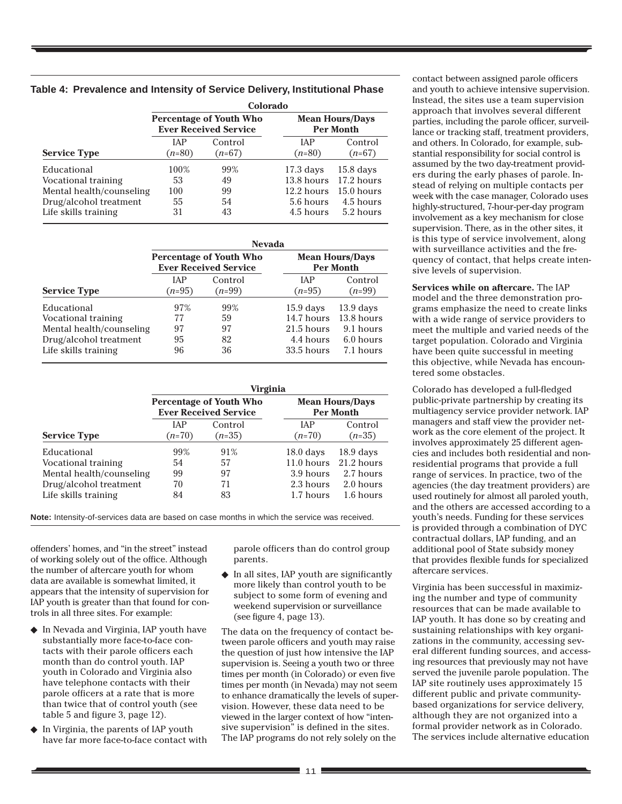|                          | Colorado               |                                                                |                                            |                     |  |  |  |
|--------------------------|------------------------|----------------------------------------------------------------|--------------------------------------------|---------------------|--|--|--|
|                          |                        | <b>Percentage of Youth Who</b><br><b>Ever Received Service</b> | <b>Mean Hours/Days</b><br><b>Per Month</b> |                     |  |  |  |
| <b>Service Type</b>      | <b>IAP</b><br>$(n=80)$ | Control<br>$(n=67)$                                            | <b>IAP</b><br>$(n=80)$                     | Control<br>$(n=67)$ |  |  |  |
| Educational              | 100%                   | 99%                                                            | $17.3$ days                                | $15.8$ days         |  |  |  |
| Vocational training      | 53                     | 49                                                             | 13.8 hours                                 | 17.2 hours          |  |  |  |
| Mental health/counseling | 100                    | 99                                                             | 12.2 hours                                 | $15.0$ hours        |  |  |  |
| Drug/alcohol treatment   | 55                     | 54                                                             | 5.6 hours                                  | 4.5 hours           |  |  |  |
| Life skills training     | 31                     | 43                                                             | 4.5 hours                                  | 5.2 hours           |  |  |  |

| Table 4: Prevalence and Intensity of Service Delivery, Institutional Phase |  |  |  |
|----------------------------------------------------------------------------|--|--|--|
|                                                                            |  |  |  |

|                          | <b>Nevada</b>          |                                                                |                                            |                     |  |  |  |
|--------------------------|------------------------|----------------------------------------------------------------|--------------------------------------------|---------------------|--|--|--|
|                          |                        | <b>Percentage of Youth Who</b><br><b>Ever Received Service</b> | <b>Mean Hours/Days</b><br><b>Per Month</b> |                     |  |  |  |
| <b>Service Type</b>      | <b>IAP</b><br>$(n=95)$ | Control<br>$(n=99)$                                            | <b>JAP</b><br>$(n=95)$                     | Control<br>$(n=99)$ |  |  |  |
| Educational              | 97%                    | 99%                                                            | $15.9$ days                                | $13.9$ days         |  |  |  |
| Vocational training      | 77                     | 59                                                             | 14.7 hours                                 | 13.8 hours          |  |  |  |
| Mental health/counseling | 97                     | 97                                                             | $21.5$ hours                               | 9.1 hours           |  |  |  |
| Drug/alcohol treatment   | 95                     | 82                                                             | 4.4 hours                                  | 6.0 hours           |  |  |  |
| Life skills training     | 96                     | 36                                                             | 33.5 hours                                 | 7.1 hours           |  |  |  |

|                          | Virginia               |                                                                |                                            |                     |  |  |  |
|--------------------------|------------------------|----------------------------------------------------------------|--------------------------------------------|---------------------|--|--|--|
|                          |                        | <b>Percentage of Youth Who</b><br><b>Ever Received Service</b> | <b>Mean Hours/Days</b><br><b>Per Month</b> |                     |  |  |  |
| <b>Service Type</b>      | <b>IAP</b><br>$(n=70)$ | Control<br>$(n=35)$                                            | <b>IAP</b><br>$(n=70)$                     | Control<br>$(n=35)$ |  |  |  |
| Educational              | 99%                    | 91%                                                            | $18.0$ days                                | $18.9$ days         |  |  |  |
| Vocational training      | 54                     | 57                                                             | $11.0$ hours                               | 21.2 hours          |  |  |  |
| Mental health/counseling | 99                     | 97                                                             | 3.9 hours                                  | 2.7 hours           |  |  |  |
| Drug/alcohol treatment   | 70                     | 71                                                             | 2.3 hours                                  | 2.0 hours           |  |  |  |
| Life skills training     | 84                     | 83                                                             | 1.7 hours                                  | 1.6 hours           |  |  |  |

**Note:** Intensity-of-services data are based on case months in which the service was received.

offenders' homes, and "in the street" instead of working solely out of the office. Although the number of aftercare youth for whom data are available is somewhat limited, it appears that the intensity of supervision for IAP youth is greater than that found for controls in all three sites. For example:

- ◆ In Nevada and Virginia, IAP youth have substantially more face-to-face contacts with their parole officers each month than do control youth. IAP youth in Colorado and Virginia also have telephone contacts with their parole officers at a rate that is more than twice that of control youth (see table 5 and figure 3, page 12).
- In Virginia, the parents of IAP youth have far more face-to-face contact with

parole officers than do control group parents.

 $\blacklozenge$  In all sites, IAP youth are significantly more likely than control youth to be subject to some form of evening and weekend supervision or surveillance (see figure 4, page 13).

The data on the frequency of contact between parole officers and youth may raise the question of just how intensive the IAP supervision is. Seeing a youth two or three times per month (in Colorado) or even five times per month (in Nevada) may not seem to enhance dramatically the levels of supervision. However, these data need to be viewed in the larger context of how "intensive supervision" is defined in the sites. The IAP programs do not rely solely on the

contact between assigned parole officers and youth to achieve intensive supervision. Instead, the sites use a team supervision approach that involves several different parties, including the parole officer, surveillance or tracking staff, treatment providers, and others. In Colorado, for example, substantial responsibility for social control is assumed by the two day-treatment providers during the early phases of parole. Instead of relying on multiple contacts per week with the case manager, Colorado uses highly-structured, 7-hour-per-day program involvement as a key mechanism for close supervision. There, as in the other sites, it is this type of service involvement, along with surveillance activities and the frequency of contact, that helps create intensive levels of supervision.

**Services while on aftercare.** The IAP model and the three demonstration programs emphasize the need to create links with a wide range of service providers to meet the multiple and varied needs of the target population. Colorado and Virginia have been quite successful in meeting this objective, while Nevada has encountered some obstacles.

Colorado has developed a full-fledged public-private partnership by creating its multiagency service provider network. IAP managers and staff view the provider network as the core element of the project. It involves approximately 25 different agencies and includes both residential and nonresidential programs that provide a full range of services. In practice, two of the agencies (the day treatment providers) are used routinely for almost all paroled youth, and the others are accessed according to a youth's needs. Funding for these services is provided through a combination of DYC contractual dollars, IAP funding, and an additional pool of State subsidy money that provides flexible funds for specialized aftercare services.

Virginia has been successful in maximizing the number and type of community resources that can be made available to IAP youth. It has done so by creating and sustaining relationships with key organizations in the community, accessing several different funding sources, and accessing resources that previously may not have served the juvenile parole population. The IAP site routinely uses approximately 15 different public and private communitybased organizations for service delivery, although they are not organized into a formal provider network as in Colorado. The services include alternative education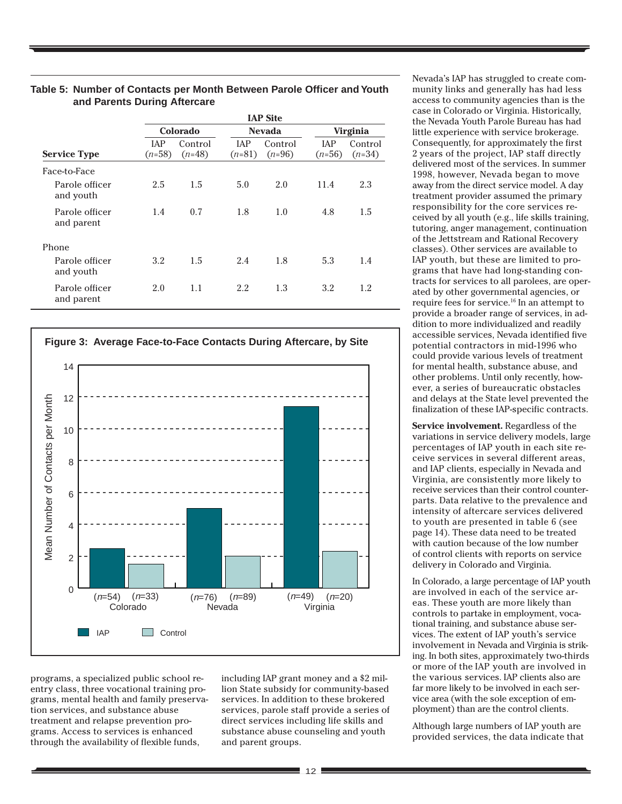|                              | <b>IAP Site</b>        |                     |                        |                     |                        |                     |
|------------------------------|------------------------|---------------------|------------------------|---------------------|------------------------|---------------------|
|                              |                        | Colorado            |                        | <b>Nevada</b>       | <b>Virginia</b>        |                     |
| <b>Service Type</b>          | <b>IAP</b><br>$(n=58)$ | Control<br>$(n=48)$ | <b>IAP</b><br>$(n=81)$ | Control<br>$(n=96)$ | <b>IAP</b><br>$(n=56)$ | Control<br>$(n=34)$ |
| Face-to-Face                 |                        |                     |                        |                     |                        |                     |
| Parole officer<br>and youth  | 2.5                    | 1.5                 | 5.0                    | 2.0                 | 11.4                   | 2.3                 |
| Parole officer<br>and parent | 1.4                    | 0.7                 | 1.8                    | 1.0                 | 4.8                    | 1.5                 |
| Phone                        |                        |                     |                        |                     |                        |                     |
| Parole officer<br>and youth  | 3.2                    | 1.5                 | 2.4                    | 1.8                 | 5.3                    | 1.4                 |
| Parole officer<br>and parent | 2.0                    | 1.1                 | 2.2                    | 1.3                 | 3.2                    | 1.2                 |

#### **Table 5: Number of Contacts per Month Between Parole Officer and Youth and Parents During Aftercare**



programs, a specialized public school reentry class, three vocational training programs, mental health and family preservation services, and substance abuse treatment and relapse prevention programs. Access to services is enhanced through the availability of flexible funds,

including IAP grant money and a \$2 million State subsidy for community-based services. In addition to these brokered services, parole staff provide a series of direct services including life skills and substance abuse counseling and youth and parent groups.

Nevada's IAP has struggled to create community links and generally has had less access to community agencies than is the case in Colorado or Virginia. Historically, the Nevada Youth Parole Bureau has had little experience with service brokerage. Consequently, for approximately the first 2 years of the project, IAP staff directly delivered most of the services. In summer 1998, however, Nevada began to move away from the direct service model. A day treatment provider assumed the primary responsibility for the core services received by all youth (e.g., life skills training, tutoring, anger management, continuation of the Jettstream and Rational Recovery classes). Other services are available to IAP youth, but these are limited to programs that have had long-standing contracts for services to all parolees, are operated by other governmental agencies, or require fees for service.16 In an attempt to provide a broader range of services, in addition to more individualized and readily accessible services, Nevada identified five potential contractors in mid-1996 who could provide various levels of treatment for mental health, substance abuse, and other problems. Until only recently, however, a series of bureaucratic obstacles and delays at the State level prevented the finalization of these IAP-specific contracts.

**Service involvement.** Regardless of the variations in service delivery models, large percentages of IAP youth in each site receive services in several different areas, and IAP clients, especially in Nevada and Virginia, are consistently more likely to receive services than their control counterparts. Data relative to the prevalence and intensity of aftercare services delivered to youth are presented in table 6 (see page 14). These data need to be treated with caution because of the low number of control clients with reports on service delivery in Colorado and Virginia.

In Colorado, a large percentage of IAP youth are involved in each of the service areas. These youth are more likely than controls to partake in employment, vocational training, and substance abuse services. The extent of IAP youth's service involvement in Nevada and Virginia is striking. In both sites, approximately two-thirds or more of the IAP youth are involved in the various services. IAP clients also are far more likely to be involved in each service area (with the sole exception of employment) than are the control clients.

Although large numbers of IAP youth are provided services, the data indicate that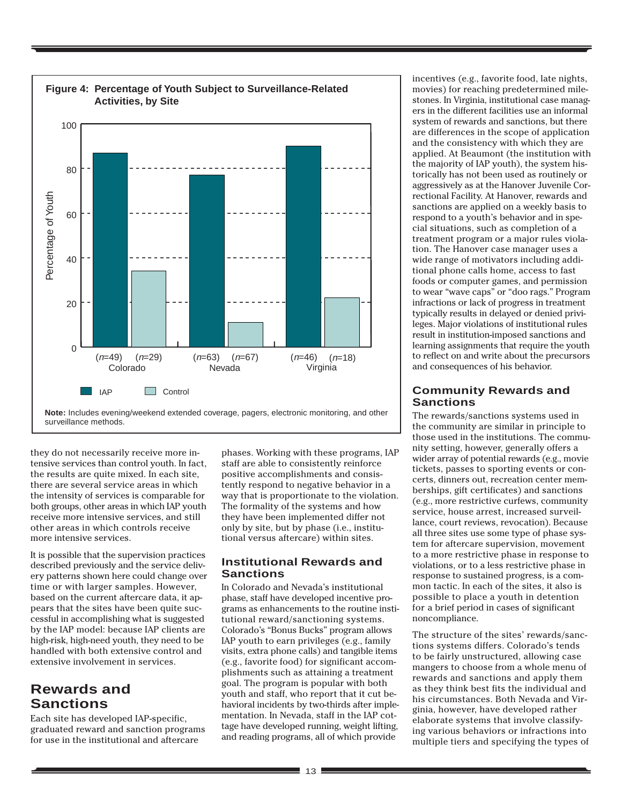

**Note:** Includes evening/weekend extended coverage, pagers, electronic monitoring, and other

they do not necessarily receive more intensive services than control youth. In fact, the results are quite mixed. In each site, there are several service areas in which the intensity of services is comparable for both groups, other areas in which IAP youth receive more intensive services, and still other areas in which controls receive more intensive services.

It is possible that the supervision practices described previously and the service delivery patterns shown here could change over time or with larger samples. However, based on the current aftercare data, it appears that the sites have been quite successful in accomplishing what is suggested by the IAP model: because IAP clients are high-risk, high-need youth, they need to be handled with both extensive control and extensive involvement in services.

# **Rewards and Sanctions**

Each site has developed IAP-specific, graduated reward and sanction programs for use in the institutional and aftercare

phases. Working with these programs, IAP staff are able to consistently reinforce positive accomplishments and consistently respond to negative behavior in a way that is proportionate to the violation. The formality of the systems and how they have been implemented differ not only by site, but by phase (i.e., institutional versus aftercare) within sites.

#### **Institutional Rewards and Sanctions**

In Colorado and Nevada's institutional phase, staff have developed incentive programs as enhancements to the routine institutional reward/sanctioning systems. Colorado's "Bonus Bucks" program allows IAP youth to earn privileges (e.g., family visits, extra phone calls) and tangible items (e.g., favorite food) for significant accomplishments such as attaining a treatment goal. The program is popular with both youth and staff, who report that it cut behavioral incidents by two-thirds after implementation. In Nevada, staff in the IAP cottage have developed running, weight lifting, and reading programs, all of which provide

incentives (e.g., favorite food, late nights, movies) for reaching predetermined milestones. In Virginia, institutional case managers in the different facilities use an informal system of rewards and sanctions, but there are differences in the scope of application and the consistency with which they are applied. At Beaumont (the institution with the majority of IAP youth), the system historically has not been used as routinely or aggressively as at the Hanover Juvenile Correctional Facility. At Hanover, rewards and sanctions are applied on a weekly basis to respond to a youth's behavior and in special situations, such as completion of a treatment program or a major rules violation. The Hanover case manager uses a wide range of motivators including additional phone calls home, access to fast foods or computer games, and permission to wear "wave caps" or "doo rags." Program infractions or lack of progress in treatment typically results in delayed or denied privileges. Major violations of institutional rules result in institution-imposed sanctions and learning assignments that require the youth to reflect on and write about the precursors and consequences of his behavior.

#### **Community Rewards and Sanctions**

The rewards/sanctions systems used in the community are similar in principle to those used in the institutions. The community setting, however, generally offers a wider array of potential rewards (e.g., movie tickets, passes to sporting events or concerts, dinners out, recreation center memberships, gift certificates) and sanctions (e.g., more restrictive curfews, community service, house arrest, increased surveillance, court reviews, revocation). Because all three sites use some type of phase system for aftercare supervision, movement to a more restrictive phase in response to violations, or to a less restrictive phase in response to sustained progress, is a common tactic. In each of the sites, it also is possible to place a youth in detention for a brief period in cases of significant noncompliance.

The structure of the sites' rewards/sanctions systems differs. Colorado's tends to be fairly unstructured, allowing case mangers to choose from a whole menu of rewards and sanctions and apply them as they think best fits the individual and his circumstances. Both Nevada and Virginia, however, have developed rather elaborate systems that involve classifying various behaviors or infractions into multiple tiers and specifying the types of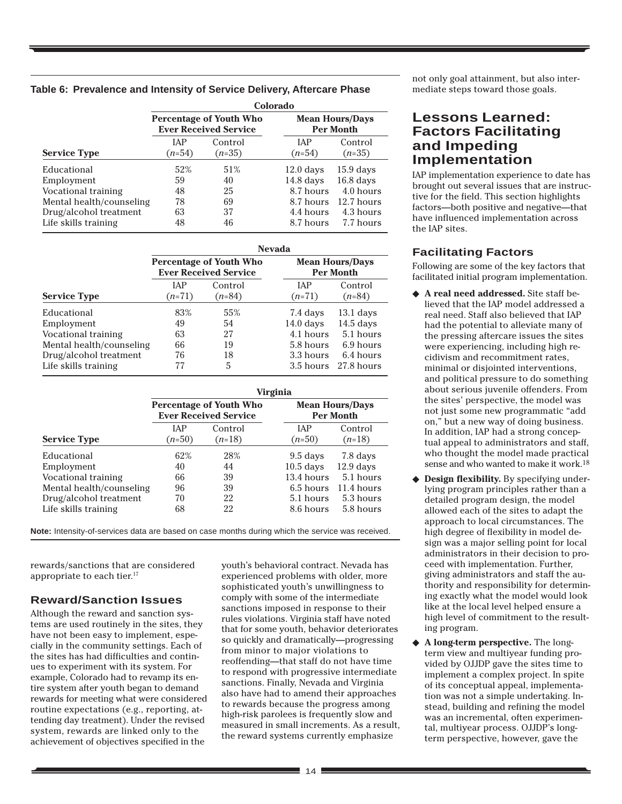|  | Table 6: Prevalence and Intensity of Service Delivery, Aftercare Phase |  |  |  |  |  |  |
|--|------------------------------------------------------------------------|--|--|--|--|--|--|
|--|------------------------------------------------------------------------|--|--|--|--|--|--|

|                          | Colorado               |                                                                |                                            |                     |  |  |  |
|--------------------------|------------------------|----------------------------------------------------------------|--------------------------------------------|---------------------|--|--|--|
|                          |                        | <b>Percentage of Youth Who</b><br><b>Ever Received Service</b> | <b>Mean Hours/Days</b><br><b>Per Month</b> |                     |  |  |  |
| <b>Service Type</b>      | <b>IAP</b><br>$(n=54)$ | Control<br>$(n=35)$                                            | <b>IAP</b><br>$(n=54)$                     | Control<br>$(n=35)$ |  |  |  |
| Educational              | 52%                    | 51%                                                            | $12.0$ days                                | $15.9$ days         |  |  |  |
| Employment               | 59                     | 40                                                             | $14.8$ days                                | $16.8$ days         |  |  |  |
| Vocational training      | 48                     | 25                                                             | 8.7 hours                                  | 4.0 hours           |  |  |  |
| Mental health/counseling | 78                     | 69                                                             | 8.7 hours                                  | 12.7 hours          |  |  |  |
| Drug/alcohol treatment   | 63                     | 37                                                             | 4.4 hours                                  | 4.3 hours           |  |  |  |
| Life skills training     | 48                     | 46                                                             | 8.7 hours                                  | 7.7 hours           |  |  |  |

|                          | <b>Nevada</b> |                                                                |                                            |             |  |  |  |  |
|--------------------------|---------------|----------------------------------------------------------------|--------------------------------------------|-------------|--|--|--|--|
|                          |               | <b>Percentage of Youth Who</b><br><b>Ever Received Service</b> | <b>Mean Hours/Days</b><br><b>Per Month</b> |             |  |  |  |  |
|                          | <b>IAP</b>    | Control                                                        | <b>IAP</b>                                 | Control     |  |  |  |  |
| <b>Service Type</b>      | $(n=71)$      | $(n=84)$                                                       | $(n=71)$                                   | $(n=84)$    |  |  |  |  |
| Educational              | 83%           | 55%                                                            | 7.4 days                                   | $13.1$ days |  |  |  |  |
| Employment               | 49            | 54                                                             | $14.0$ days                                | $14.5$ days |  |  |  |  |
| Vocational training      | 63            | 27                                                             | 4.1 hours                                  | 5.1 hours   |  |  |  |  |
| Mental health/counseling | 66            | 19                                                             | 5.8 hours                                  | 6.9 hours   |  |  |  |  |
| Drug/alcohol treatment   | 76            | 18                                                             | 3.3 hours                                  | 6.4 hours   |  |  |  |  |
| Life skills training     | 77            | 5                                                              | $3.5$ hours                                | 27.8 hours  |  |  |  |  |

|                          | <b>Virginia</b> |                                                                |                                            |             |  |  |
|--------------------------|-----------------|----------------------------------------------------------------|--------------------------------------------|-------------|--|--|
|                          |                 | <b>Percentage of Youth Who</b><br><b>Ever Received Service</b> | <b>Mean Hours/Days</b><br><b>Per Month</b> |             |  |  |
|                          | <b>IAP</b>      | Control                                                        | <b>JAP</b>                                 | Control     |  |  |
| <b>Service Type</b>      | $(n=50)$        | $(n=18)$                                                       | $(n=50)$                                   | $(n=18)$    |  |  |
| Educational              | 62%             | 28%                                                            | $9.5$ days                                 | 7.8 days    |  |  |
| Employment               | 40              | 44                                                             | $10.5$ days                                | $12.9$ days |  |  |
| Vocational training      | 66              | 39                                                             | 13.4 hours                                 | 5.1 hours   |  |  |
| Mental health/counseling | 96              | 39                                                             | 6.5 hours                                  | 11.4 hours  |  |  |
| Drug/alcohol treatment   | 70              | 22                                                             | 5.1 hours                                  | 5.3 hours   |  |  |
| Life skills training     | 68              | 22                                                             | 8.6 hours                                  | 5.8 hours   |  |  |

**Note:** Intensity-of-services data are based on case months during which the service was received.

rewards/sanctions that are considered appropriate to each tier.<sup>17</sup>

#### **Reward/Sanction Issues**

Although the reward and sanction systems are used routinely in the sites, they have not been easy to implement, especially in the community settings. Each of the sites has had difficulties and continues to experiment with its system. For example, Colorado had to revamp its entire system after youth began to demand rewards for meeting what were considered routine expectations (e.g., reporting, attending day treatment). Under the revised system, rewards are linked only to the achievement of objectives specified in the

youth's behavioral contract. Nevada has experienced problems with older, more sophisticated youth's unwillingness to comply with some of the intermediate sanctions imposed in response to their rules violations. Virginia staff have noted that for some youth, behavior deteriorates so quickly and dramatically—progressing from minor to major violations to reoffending—that staff do not have time to respond with progressive intermediate sanctions. Finally, Nevada and Virginia also have had to amend their approaches to rewards because the progress among high-risk parolees is frequently slow and measured in small increments. As a result, the reward systems currently emphasize

not only goal attainment, but also intermediate steps toward those goals.

# **Lessons Learned: Factors Facilitating and Impeding Implementation**

IAP implementation experience to date has brought out several issues that are instructive for the field. This section highlights factors—both positive and negative—that have influenced implementation across the IAP sites.

#### **Facilitating Factors**

Following are some of the key factors that facilitated initial program implementation.

- ◆ **A real need addressed.** Site staff believed that the IAP model addressed a real need. Staff also believed that IAP had the potential to alleviate many of the pressing aftercare issues the sites were experiencing, including high recidivism and recommitment rates, minimal or disjointed interventions, and political pressure to do something about serious juvenile offenders. From the sites' perspective, the model was not just some new programmatic "add on," but a new way of doing business. In addition, IAP had a strong conceptual appeal to administrators and staff, who thought the model made practical sense and who wanted to make it work.18
- ◆ **Design flexibility.** By specifying underlying program principles rather than a detailed program design, the model allowed each of the sites to adapt the approach to local circumstances. The high degree of flexibility in model design was a major selling point for local administrators in their decision to proceed with implementation. Further, giving administrators and staff the authority and responsibility for determining exactly what the model would look like at the local level helped ensure a high level of commitment to the resulting program.
- A long-term perspective. The longterm view and multiyear funding provided by OJJDP gave the sites time to implement a complex project. In spite of its conceptual appeal, implementation was not a simple undertaking. Instead, building and refining the model was an incremental, often experimental, multiyear process. OJJDP's longterm perspective, however, gave the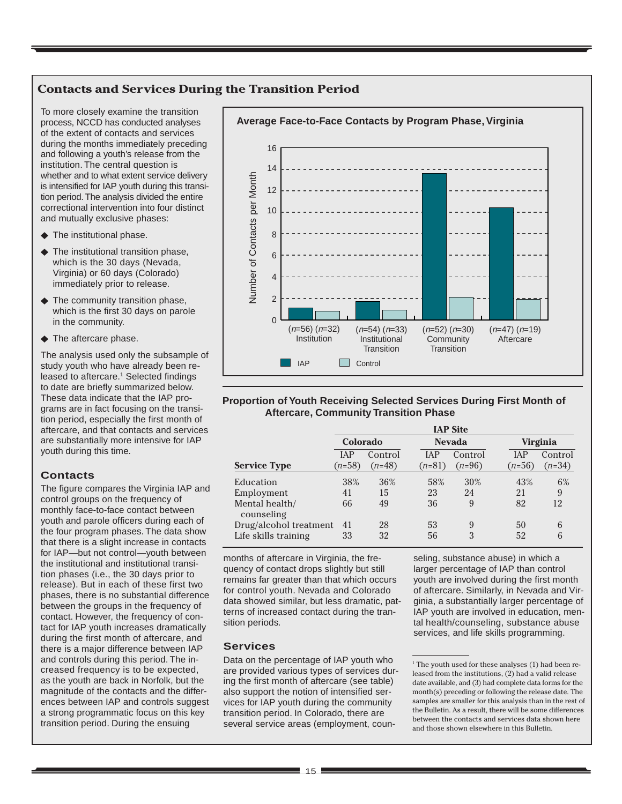## **Contacts and Services During the Transition Period**

To more closely examine the transition process, NCCD has conducted analyses of the extent of contacts and services during the months immediately preceding and following a youth's release from the institution. The central question is whether and to what extent service delivery is intensified for IAP youth during this transition period. The analysis divided the entire correctional intervention into four distinct and mutually exclusive phases:

- ◆ The institutional phase.
- ◆ The institutional transition phase, which is the 30 days (Nevada, Virginia) or 60 days (Colorado) immediately prior to release.
- ◆ The community transition phase, which is the first 30 days on parole in the community.
- ◆ The aftercare phase.

The analysis used only the subsample of study youth who have already been released to aftercare.<sup>1</sup> Selected findings to date are briefly summarized below. These data indicate that the IAP programs are in fact focusing on the transition period, especially the first month of aftercare, and that contacts and services are substantially more intensive for IAP youth during this time.

#### **Contacts**

The figure compares the Virginia IAP and control groups on the frequency of monthly face-to-face contact between youth and parole officers during each of the four program phases. The data show that there is a slight increase in contacts for IAP—but not control—youth between the institutional and institutional transition phases (i.e., the 30 days prior to release). But in each of these first two phases, there is no substantial difference between the groups in the frequency of contact. However, the frequency of contact for IAP youth increases dramatically during the first month of aftercare, and there is a major difference between IAP and controls during this period. The increased frequency is to be expected, as the youth are back in Norfolk, but the magnitude of the contacts and the differences between IAP and controls suggest a strong programmatic focus on this key transition period. During the ensuing



#### **Proportion of Youth Receiving Selected Services During First Month of Aftercare, Community Transition Phase**

|                              |            | <b>IAP Site</b> |               |          |            |          |  |
|------------------------------|------------|-----------------|---------------|----------|------------|----------|--|
|                              | Colorado   |                 | <b>Nevada</b> |          | Virginia   |          |  |
|                              | <b>IAP</b> | Control         | <b>IAP</b>    | Control  | <b>IAP</b> | Control  |  |
| <b>Service Type</b>          | $(n=58)$   | $(n=48)$        | $(n=81)$      | $(n=96)$ | $(n=56)$   | $(n=34)$ |  |
| Education                    | 38%        | 36%             | 58%           | 30%      | 43%        | 6%       |  |
| Employment                   | 41         | 15              | 23            | 24       | 21         | 9        |  |
| Mental health/<br>counseling | 66         | 49              | 36            | 9        | 82         | 12       |  |
| Drug/alcohol treatment       | 41         | 28              | 53            | 9        | 50         | 6        |  |
| Life skills training         | 33         | 32              | 56            | 3        | 52         | 6        |  |

months of aftercare in Virginia, the frequency of contact drops slightly but still remains far greater than that which occurs for control youth. Nevada and Colorado data showed similar, but less dramatic, patterns of increased contact during the transition periods.

#### **Services**

Data on the percentage of IAP youth who are provided various types of services during the first month of aftercare (see table) also support the notion of intensified services for IAP youth during the community transition period. In Colorado, there are several service areas (employment, counseling, substance abuse) in which a larger percentage of IAP than control youth are involved during the first month of aftercare. Similarly, in Nevada and Virginia, a substantially larger percentage of IAP youth are involved in education, mental health/counseling, substance abuse services, and life skills programming.

<sup>&</sup>lt;sup>1</sup> The youth used for these analyses (1) had been released from the institutions, (2) had a valid release date available, and (3) had complete data forms for the month(s) preceding or following the release date. The samples are smaller for this analysis than in the rest of the Bulletin. As a result, there will be some differences between the contacts and services data shown here and those shown elsewhere in this Bulletin.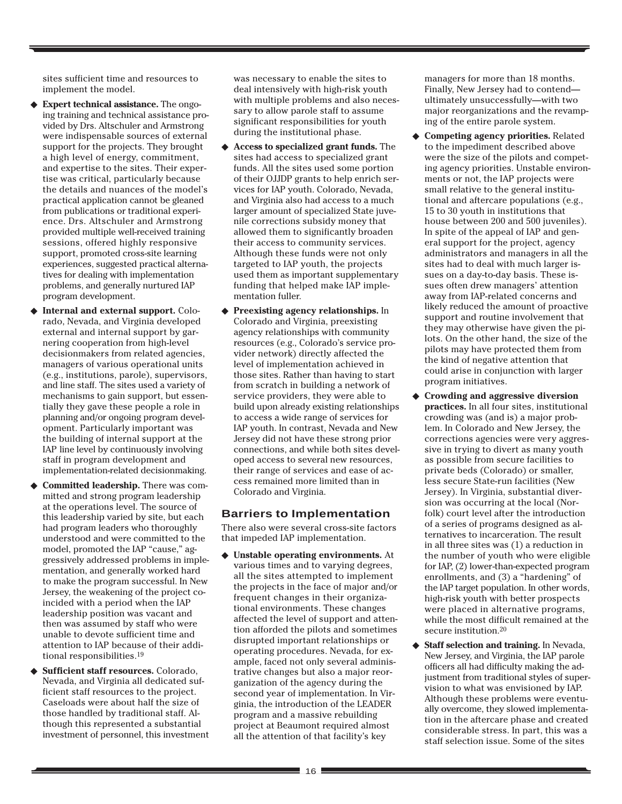sites sufficient time and resources to implement the model.

- **Expert technical assistance.** The ongoing training and technical assistance provided by Drs. Altschuler and Armstrong were indispensable sources of external support for the projects. They brought a high level of energy, commitment, and expertise to the sites. Their expertise was critical, particularly because the details and nuances of the model's practical application cannot be gleaned from publications or traditional experience. Drs. Altschuler and Armstrong provided multiple well-received training sessions, offered highly responsive support, promoted cross-site learning experiences, suggested practical alternatives for dealing with implementation problems, and generally nurtured IAP program development.
- **Internal and external support.** Colorado, Nevada, and Virginia developed external and internal support by garnering cooperation from high-level decisionmakers from related agencies, managers of various operational units (e.g., institutions, parole), supervisors, and line staff. The sites used a variety of mechanisms to gain support, but essentially they gave these people a role in planning and/or ongoing program development. Particularly important was the building of internal support at the IAP line level by continuously involving staff in program development and implementation-related decisionmaking.
- Committed leadership. There was committed and strong program leadership at the operations level. The source of this leadership varied by site, but each had program leaders who thoroughly understood and were committed to the model, promoted the IAP "cause," aggressively addressed problems in implementation, and generally worked hard to make the program successful. In New Jersey, the weakening of the project coincided with a period when the IAP leadership position was vacant and then was assumed by staff who were unable to devote sufficient time and attention to IAP because of their additional responsibilities.19
- ◆ **Sufficient staff resources.** Colorado, Nevada, and Virginia all dedicated sufficient staff resources to the project. Caseloads were about half the size of those handled by traditional staff. Although this represented a substantial investment of personnel, this investment

was necessary to enable the sites to deal intensively with high-risk youth with multiple problems and also necessary to allow parole staff to assume significant responsibilities for youth during the institutional phase.

- ◆ **Access to specialized grant funds.** The sites had access to specialized grant funds. All the sites used some portion of their OJJDP grants to help enrich services for IAP youth. Colorado, Nevada, and Virginia also had access to a much larger amount of specialized State juvenile corrections subsidy money that allowed them to significantly broaden their access to community services. Although these funds were not only targeted to IAP youth, the projects used them as important supplementary funding that helped make IAP implementation fuller.
- ◆ **Preexisting agency relationships.** In Colorado and Virginia, preexisting agency relationships with community resources (e.g., Colorado's service provider network) directly affected the level of implementation achieved in those sites. Rather than having to start from scratch in building a network of service providers, they were able to build upon already existing relationships to access a wide range of services for IAP youth. In contrast, Nevada and New Jersey did not have these strong prior connections, and while both sites developed access to several new resources, their range of services and ease of access remained more limited than in Colorado and Virginia.

#### **Barriers to Implementation**

There also were several cross-site factors that impeded IAP implementation.

◆ **Unstable operating environments.** At various times and to varying degrees, all the sites attempted to implement the projects in the face of major and/or frequent changes in their organizational environments. These changes affected the level of support and attention afforded the pilots and sometimes disrupted important relationships or operating procedures. Nevada, for example, faced not only several administrative changes but also a major reorganization of the agency during the second year of implementation. In Virginia, the introduction of the LEADER program and a massive rebuilding project at Beaumont required almost all the attention of that facility's key

managers for more than 18 months. Finally, New Jersey had to contend ultimately unsuccessfully—with two major reorganizations and the revamping of the entire parole system.

- ◆ **Competing agency priorities.** Related to the impediment described above were the size of the pilots and competing agency priorities. Unstable environments or not, the IAP projects were small relative to the general institutional and aftercare populations (e.g., 15 to 30 youth in institutions that house between 200 and 500 juveniles). In spite of the appeal of IAP and general support for the project, agency administrators and managers in all the sites had to deal with much larger issues on a day-to-day basis. These issues often drew managers' attention away from IAP-related concerns and likely reduced the amount of proactive support and routine involvement that they may otherwise have given the pilots. On the other hand, the size of the pilots may have protected them from the kind of negative attention that could arise in conjunction with larger program initiatives.
- ◆ **Crowding and aggressive diversion practices.** In all four sites, institutional crowding was (and is) a major problem. In Colorado and New Jersey, the corrections agencies were very aggressive in trying to divert as many youth as possible from secure facilities to private beds (Colorado) or smaller, less secure State-run facilities (New Jersey). In Virginia, substantial diversion was occurring at the local (Norfolk) court level after the introduction of a series of programs designed as alternatives to incarceration. The result in all three sites was (1) a reduction in the number of youth who were eligible for IAP, (2) lower-than-expected program enrollments, and (3) a "hardening" of the IAP target population. In other words, high-risk youth with better prospects were placed in alternative programs, while the most difficult remained at the secure institution.20
- ◆ **Staff selection and training.** In Nevada, New Jersey, and Virginia, the IAP parole officers all had difficulty making the adjustment from traditional styles of supervision to what was envisioned by IAP. Although these problems were eventually overcome, they slowed implementation in the aftercare phase and created considerable stress. In part, this was a staff selection issue. Some of the sites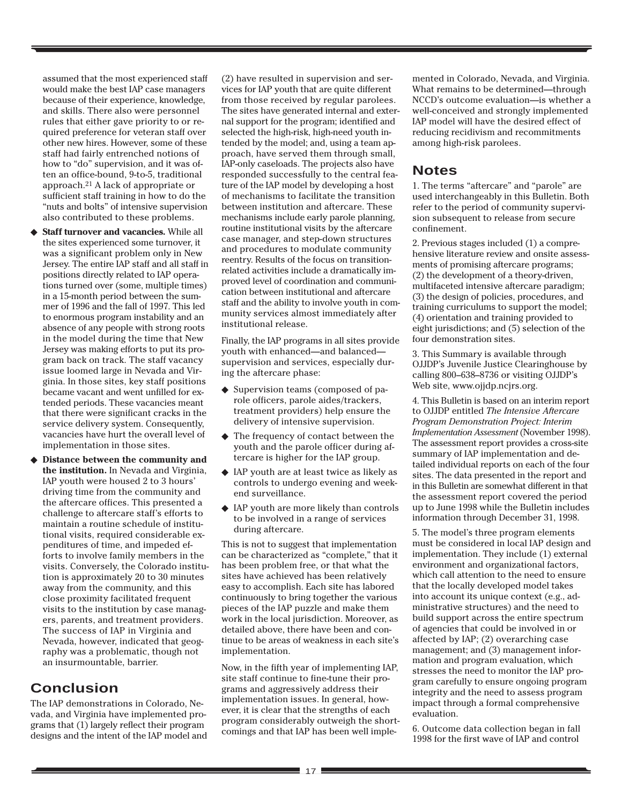assumed that the most experienced staff would make the best IAP case managers because of their experience, knowledge, and skills. There also were personnel rules that either gave priority to or required preference for veteran staff over other new hires. However, some of these staff had fairly entrenched notions of how to "do" supervision, and it was often an office-bound, 9-to-5, traditional approach.21 A lack of appropriate or sufficient staff training in how to do the "nuts and bolts" of intensive supervision also contributed to these problems.

- ◆ **Staff turnover and vacancies.** While all the sites experienced some turnover, it was a significant problem only in New Jersey. The entire IAP staff and all staff in positions directly related to IAP operations turned over (some, multiple times) in a 15-month period between the summer of 1996 and the fall of 1997. This led to enormous program instability and an absence of any people with strong roots in the model during the time that New Jersey was making efforts to put its program back on track. The staff vacancy issue loomed large in Nevada and Virginia. In those sites, key staff positions became vacant and went unfilled for extended periods. These vacancies meant that there were significant cracks in the service delivery system. Consequently, vacancies have hurt the overall level of implementation in those sites.
- **Distance between the community and the institution.** In Nevada and Virginia, IAP youth were housed 2 to 3 hours' driving time from the community and the aftercare offices. This presented a challenge to aftercare staff's efforts to maintain a routine schedule of institutional visits, required considerable expenditures of time, and impeded efforts to involve family members in the visits. Conversely, the Colorado institution is approximately 20 to 30 minutes away from the community, and this close proximity facilitated frequent visits to the institution by case managers, parents, and treatment providers. The success of IAP in Virginia and Nevada, however, indicated that geography was a problematic, though not an insurmountable, barrier.

# **Conclusion**

The IAP demonstrations in Colorado, Nevada, and Virginia have implemented programs that (1) largely reflect their program designs and the intent of the IAP model and

(2) have resulted in supervision and services for IAP youth that are quite different from those received by regular parolees. The sites have generated internal and external support for the program; identified and selected the high-risk, high-need youth intended by the model; and, using a team approach, have served them through small, IAP-only caseloads. The projects also have responded successfully to the central feature of the IAP model by developing a host of mechanisms to facilitate the transition between institution and aftercare. These mechanisms include early parole planning, routine institutional visits by the aftercare case manager, and step-down structures and procedures to modulate community reentry. Results of the focus on transitionrelated activities include a dramatically improved level of coordination and communication between institutional and aftercare staff and the ability to involve youth in community services almost immediately after institutional release.

Finally, the IAP programs in all sites provide youth with enhanced—and balanced supervision and services, especially during the aftercare phase:

- ◆ Supervision teams (composed of parole officers, parole aides/trackers, treatment providers) help ensure the delivery of intensive supervision.
- ◆ The frequency of contact between the youth and the parole officer during aftercare is higher for the IAP group.
- ◆ IAP youth are at least twice as likely as controls to undergo evening and weekend surveillance.
- ◆ IAP youth are more likely than controls to be involved in a range of services during aftercare.

This is not to suggest that implementation can be characterized as "complete," that it has been problem free, or that what the sites have achieved has been relatively easy to accomplish. Each site has labored continuously to bring together the various pieces of the IAP puzzle and make them work in the local jurisdiction. Moreover, as detailed above, there have been and continue to be areas of weakness in each site's implementation.

Now, in the fifth year of implementing IAP, site staff continue to fine-tune their programs and aggressively address their implementation issues. In general, however, it is clear that the strengths of each program considerably outweigh the shortcomings and that IAP has been well implemented in Colorado, Nevada, and Virginia. What remains to be determined—through NCCD's outcome evaluation—is whether a well-conceived and strongly implemented IAP model will have the desired effect of reducing recidivism and recommitments among high-risk parolees.

## **Notes**

1. The terms "aftercare" and "parole" are used interchangeably in this Bulletin. Both refer to the period of community supervision subsequent to release from secure confinement.

2. Previous stages included (1) a comprehensive literature review and onsite assessments of promising aftercare programs; (2) the development of a theory-driven, multifaceted intensive aftercare paradigm; (3) the design of policies, procedures, and training curriculums to support the model; (4) orientation and training provided to eight jurisdictions; and (5) selection of the four demonstration sites.

3. This Summary is available through OJJDP's Juvenile Justice Clearinghouse by calling 800–638–8736 or visiting OJJDP's Web site, www.ojjdp.ncjrs.org.

4. This Bulletin is based on an interim report to OJJDP entitled *The Intensive Aftercare Program Demonstration Project: Interim Implementation Assessment* (November 1998). The assessment report provides a cross-site summary of IAP implementation and detailed individual reports on each of the four sites. The data presented in the report and in this Bulletin are somewhat different in that the assessment report covered the period up to June 1998 while the Bulletin includes information through December 31, 1998.

5. The model's three program elements must be considered in local IAP design and implementation. They include (1) external environment and organizational factors, which call attention to the need to ensure that the locally developed model takes into account its unique context (e.g., administrative structures) and the need to build support across the entire spectrum of agencies that could be involved in or affected by IAP; (2) overarching case management; and (3) management information and program evaluation, which stresses the need to monitor the IAP program carefully to ensure ongoing program integrity and the need to assess program impact through a formal comprehensive evaluation.

6. Outcome data collection began in fall 1998 for the first wave of IAP and control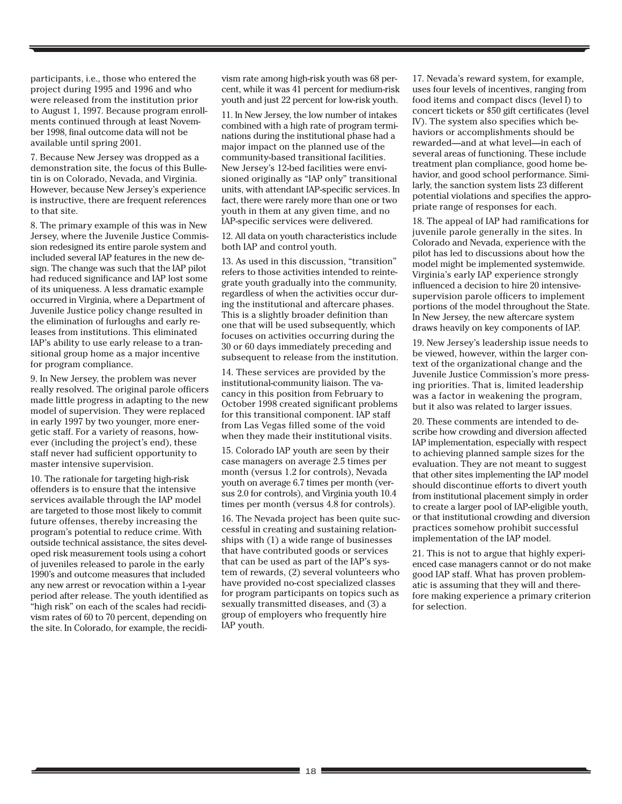participants, i.e., those who entered the project during 1995 and 1996 and who were released from the institution prior to August 1, 1997. Because program enrollments continued through at least November 1998, final outcome data will not be available until spring 2001.

7. Because New Jersey was dropped as a demonstration site, the focus of this Bulletin is on Colorado, Nevada, and Virginia. However, because New Jersey's experience is instructive, there are frequent references to that site.

8. The primary example of this was in New Jersey, where the Juvenile Justice Commission redesigned its entire parole system and included several IAP features in the new design. The change was such that the IAP pilot had reduced significance and IAP lost some of its uniqueness. A less dramatic example occurred in Virginia, where a Department of Juvenile Justice policy change resulted in the elimination of furloughs and early releases from institutions. This eliminated IAP's ability to use early release to a transitional group home as a major incentive for program compliance.

9. In New Jersey, the problem was never really resolved. The original parole officers made little progress in adapting to the new model of supervision. They were replaced in early 1997 by two younger, more energetic staff. For a variety of reasons, however (including the project's end), these staff never had sufficient opportunity to master intensive supervision.

10. The rationale for targeting high-risk offenders is to ensure that the intensive services available through the IAP model are targeted to those most likely to commit future offenses, thereby increasing the program's potential to reduce crime. With outside technical assistance, the sites developed risk measurement tools using a cohort of juveniles released to parole in the early 1990's and outcome measures that included any new arrest or revocation within a 1-year period after release. The youth identified as "high risk" on each of the scales had recidivism rates of 60 to 70 percent, depending on the site. In Colorado, for example, the recidi-

vism rate among high-risk youth was 68 percent, while it was 41 percent for medium-risk youth and just 22 percent for low-risk youth.

11. In New Jersey, the low number of intakes combined with a high rate of program terminations during the institutional phase had a major impact on the planned use of the community-based transitional facilities. New Jersey's 12-bed facilities were envisioned originally as "IAP only" transitional units, with attendant IAP-specific services. In fact, there were rarely more than one or two youth in them at any given time, and no IAP-specific services were delivered.

12. All data on youth characteristics include both IAP and control youth.

13. As used in this discussion, "transition" refers to those activities intended to reintegrate youth gradually into the community, regardless of when the activities occur during the institutional and aftercare phases. This is a slightly broader definition than one that will be used subsequently, which focuses on activities occurring during the 30 or 60 days immediately preceding and subsequent to release from the institution.

14. These services are provided by the institutional-community liaison. The vacancy in this position from February to October 1998 created significant problems for this transitional component. IAP staff from Las Vegas filled some of the void when they made their institutional visits.

15. Colorado IAP youth are seen by their case managers on average 2.5 times per month (versus 1.2 for controls), Nevada youth on average 6.7 times per month (versus 2.0 for controls), and Virginia youth 10.4 times per month (versus 4.8 for controls).

16. The Nevada project has been quite successful in creating and sustaining relationships with (1) a wide range of businesses that have contributed goods or services that can be used as part of the IAP's system of rewards, (2) several volunteers who have provided no-cost specialized classes for program participants on topics such as sexually transmitted diseases, and (3) a group of employers who frequently hire IAP youth.

17. Nevada's reward system, for example, uses four levels of incentives, ranging from food items and compact discs (level I) to concert tickets or \$50 gift certificates (level IV). The system also specifies which behaviors or accomplishments should be rewarded—and at what level—in each of several areas of functioning. These include treatment plan compliance, good home behavior, and good school performance. Similarly, the sanction system lists 23 different potential violations and specifies the appropriate range of responses for each.

18. The appeal of IAP had ramifications for juvenile parole generally in the sites. In Colorado and Nevada, experience with the pilot has led to discussions about how the model might be implemented systemwide. Virginia's early IAP experience strongly influenced a decision to hire 20 intensivesupervision parole officers to implement portions of the model throughout the State. In New Jersey, the new aftercare system draws heavily on key components of IAP.

19. New Jersey's leadership issue needs to be viewed, however, within the larger context of the organizational change and the Juvenile Justice Commission's more pressing priorities. That is, limited leadership was a factor in weakening the program, but it also was related to larger issues.

20. These comments are intended to describe how crowding and diversion affected IAP implementation, especially with respect to achieving planned sample sizes for the evaluation. They are not meant to suggest that other sites implementing the IAP model should discontinue efforts to divert youth from institutional placement simply in order to create a larger pool of IAP-eligible youth, or that institutional crowding and diversion practices somehow prohibit successful implementation of the IAP model.

21. This is not to argue that highly experienced case managers cannot or do not make good IAP staff. What has proven problematic is assuming that they will and therefore making experience a primary criterion for selection.

the control of the control of the control of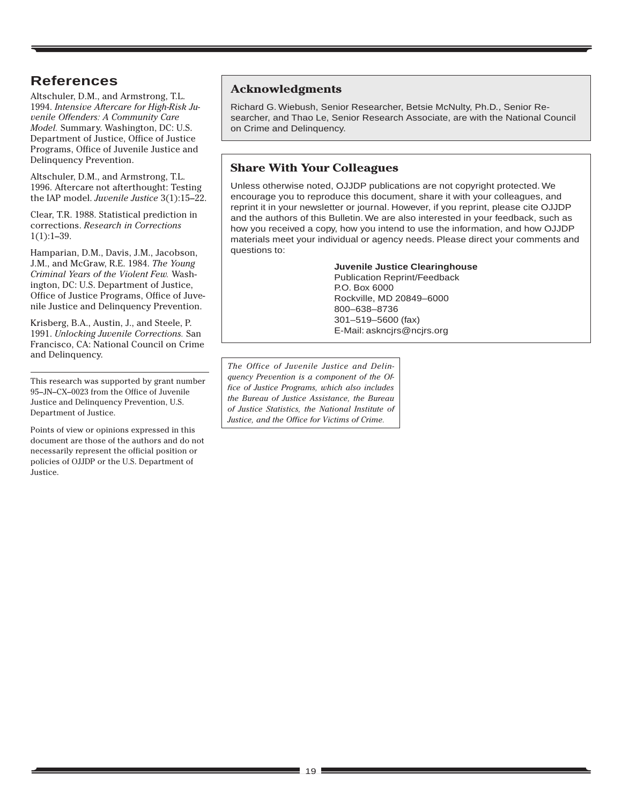# **References**

Altschuler, D.M., and Armstrong, T.L. 1994. *Intensive Aftercare for High-Risk Juvenile Offenders: A Community Care Model.* Summary. Washington, DC: U.S. Department of Justice, Office of Justice Programs, Office of Juvenile Justice and Delinquency Prevention.

Altschuler, D.M., and Armstrong, T.L. 1996. Aftercare not afterthought: Testing the IAP model. *Juvenile Justice* 3(1):15–22.

Clear, T.R. 1988. Statistical prediction in corrections. *Research in Corrections*  $1(1):1-39.$ 

Hamparian, D.M., Davis, J.M., Jacobson, J.M., and McGraw, R.E. 1984. *The Young Criminal Years of the Violent Few.* Washington, DC: U.S. Department of Justice, Office of Justice Programs, Office of Juvenile Justice and Delinquency Prevention.

Krisberg, B.A., Austin, J., and Steele, P. 1991. *Unlocking Juvenile Corrections.* San Francisco, CA: National Council on Crime and Delinquency.

This research was supported by grant number 95–JN–CX–0023 from the Office of Juvenile Justice and Delinquency Prevention, U.S. Department of Justice.

Points of view or opinions expressed in this document are those of the authors and do not necessarily represent the official position or policies of OJJDP or the U.S. Department of Justice.

## **Acknowledgments**

Richard G. Wiebush, Senior Researcher, Betsie McNulty, Ph.D., Senior Researcher, and Thao Le, Senior Research Associate, are with the National Council on Crime and Delinquency.

## **Share With Your Colleagues**

Unless otherwise noted, OJJDP publications are not copyright protected. We encourage you to reproduce this document, share it with your colleagues, and reprint it in your newsletter or journal. However, if you reprint, please cite OJJDP and the authors of this Bulletin. We are also interested in your feedback, such as how you received a copy, how you intend to use the information, and how OJJDP materials meet your individual or agency needs. Please direct your comments and questions to:

#### **Juvenile Justice Clearinghouse**

Publication Reprint/Feedback P.O. Box 6000 Rockville, MD 20849–6000 800–638–8736 301–519–5600 (fax) E-Mail: askncjrs@ncjrs.org

*The Office of Juvenile Justice and Delinquency Prevention is a component of the Office of Justice Programs, which also includes the Bureau of Justice Assistance, the Bureau of Justice Statistics, the National Institute of Justice, and the Office for Victims of Crime.*